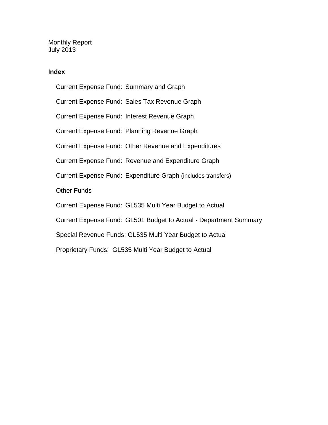Monthly Report July 2013

### **Index**

Current Expense Fund: Summary and Graph Current Expense Fund: Sales Tax Revenue Graph Current Expense Fund: Interest Revenue Graph Current Expense Fund: Planning Revenue Graph Current Expense Fund: Other Revenue and Expenditures Current Expense Fund: Revenue and Expenditure Graph Current Expense Fund: Expenditure Graph (includes transfers) Other Funds Current Expense Fund: GL535 Multi Year Budget to Actual Current Expense Fund: GL501 Budget to Actual - Department Summary Special Revenue Funds: GL535 Multi Year Budget to Actual Proprietary Funds: GL535 Multi Year Budget to Actual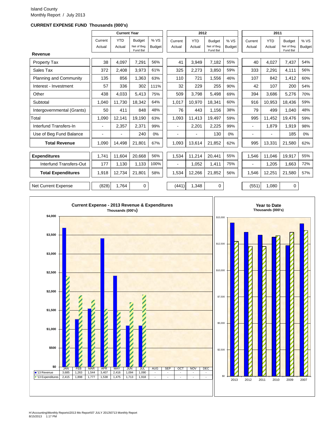#### Island County Monthly Report / July 2013

#### **CURRENT EXPENSE FUND Thousands (000's)**

|                            |         | <b>Current Year</b> |                         |               |         | 2012       |                         |               |                | 2011       |                         |               |
|----------------------------|---------|---------------------|-------------------------|---------------|---------|------------|-------------------------|---------------|----------------|------------|-------------------------|---------------|
|                            | Current | <b>YTD</b>          | <b>Budget</b>           | % VS          | Current | <b>YTD</b> | <b>Budget</b>           | %VS           | Current        | <b>YTD</b> | <b>Budget</b>           | % VS          |
|                            | Actual  | Actual              | Net of Beg.<br>Fund Bal | <b>Budget</b> | Actual  | Actual     | Net of Beg.<br>Fund Bal | <b>Budget</b> | Actual         | Actual     | Net of Beg.<br>Fund Bal | <b>Budget</b> |
| Revenue                    |         |                     |                         |               |         |            |                         |               |                |            |                         |               |
| <b>Property Tax</b>        | 38      | 4,097               | 7,291                   | 56%           | 41      | 3,949      | 7,182                   | 55%           | 40             | 4,027      | 7,437                   | 54%           |
| Sales Tax                  | 372     | 2,408               | 3,973                   | 61%           | 325     | 2,273      | 3,850                   | 59%           | 333            | 2,291      | 4,111                   | 56%           |
| Planning and Community     | 135     | 856                 | 1,363                   | 63%           | 110     | 721        | 1,556                   | 46%           | 107            | 842        | 1,412                   | 60%           |
| Interest - Investment      | 57      | 336                 | 302                     | 111%          | 32      | 229        | 255                     | 90%           | 42             | 107        | 200                     | 54%           |
| Other                      | 438     | 4,033               | 5,413                   | 75%           | 509     | 3.798      | 5,498                   | 69%           | 394            | 3,686      | 5,276                   | 70%           |
| Subtotal                   | 1,040   | 11,730              | 18,342                  | 64%           | 1,017   | 10,970     | 18,341                  | 60%           | 916            | 10,953     | 18,436                  | 59%           |
| Intergovernmental (Grants) | 50      | 411                 | 848                     | 48%           | 76      | 443        | 1,156                   | 38%           | 79             | 499        | 1,040                   | 48%           |
| Total                      | 1,090   | 12,141              | 19,190                  | 63%           | 1,093   | 11,413     | 19,497                  | 59%           | 995            | 11,452     | 19,476                  | 59%           |
| Interfund Transfers-In     |         | 2,357               | 2,371                   | 99%           | ۰       | 2,201      | 2,225                   | 99%           | ٠              | 1.879      | 1,919                   | 98%           |
| Use of Beg Fund Balance    |         | ä,                  | 240                     | 0%            |         |            | 130                     | 0%            | $\blacksquare$ |            | 185                     | 0%            |
| <b>Total Revenue</b>       | 1,090   | 14,498              | 21,801                  | 67%           | 1,093   | 13,614     | 21,852                  | 62%           | 995            | 13,331     | 21,580                  | 62%           |
| <b>Expenditures</b>        | 1,741   | 11,604              | 20,668                  | 56%           | 1,534   | 11,214     | 20,441                  | 55%           | 1,546          | 11,046     | 19,917                  | 55%           |
| Interfund Transfers-Out    | 177     | 1,130               | 1,133                   | 100%          |         | 1,052      | 1,411                   | 75%           | ٠              | 1,205      | 1,663                   | 72%           |
| <b>Total Expenditures</b>  | 1,918   | 12,734              | 21,801                  | 58%           | 1,534   | 12,266     | 21,852                  | 56%           | 1,546          | 12,251     | 21,580                  | 57%           |
|                            |         |                     |                         |               |         |            |                         |               |                |            |                         |               |
| <b>Net Current Expense</b> | (828)   | 1.764               | 0                       |               | (441)   | 1.348      | 0                       |               | (551)          | 1.080      | 0                       |               |

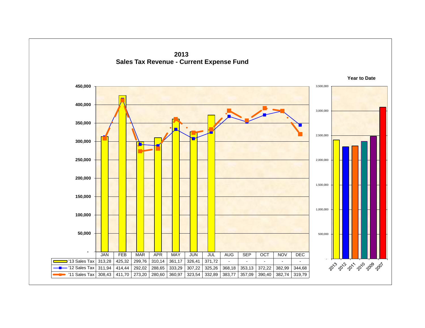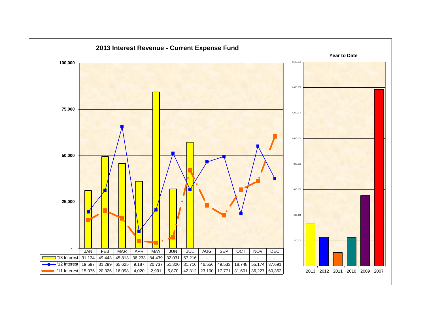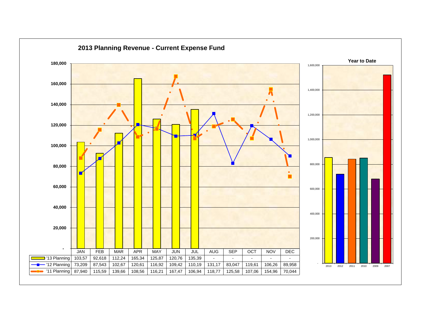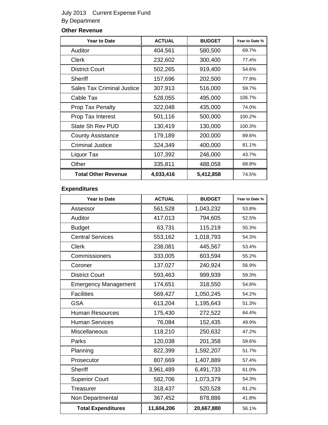## July 2013 Current Expense Fund By Department

## **Other Revenue**

| <b>Year to Date</b>               | <b>ACTUAL</b> | <b>BUDGET</b> | Year to Date % |
|-----------------------------------|---------------|---------------|----------------|
| Auditor                           | 404,561       | 580,500       | 69.7%          |
| <b>Clerk</b>                      | 232,602       | 300,400       | 77.4%          |
| <b>District Court</b>             | 502,265       | 919,400       | 54.6%          |
| Sheriff                           | 157,696       | 202,500       | 77.9%          |
| <b>Sales Tax Criminal Justice</b> | 307,913       | 516,000       | 59.7%          |
| Cable Tax                         | 528,055       | 495,000       | 106.7%         |
| <b>Prop Tax Penalty</b>           | 322,048       | 435,000       | 74.0%          |
| <b>Prop Tax Interest</b>          | 501,116       | 500,000       | 100.2%         |
| State Sh Rev PUD                  | 130,419       | 130,000       | 100.3%         |
| <b>County Assistance</b>          | 179,189       | 200,000       | 89.6%          |
| <b>Criminal Justice</b>           | 324,349       | 400,000       | 81.1%          |
| Liquor Tax                        | 107,392       | 246,000       | 43.7%          |
| Other                             | 335,811       | 488,058       | 68.8%          |
| <b>Total Other Revenue</b>        | 4,033,416     | 5,412,858     | 74.5%          |

## **Expenditures**

| <b>Year to Date</b>         | <b>ACTUAL</b> | <b>BUDGET</b> | Year to Date % |
|-----------------------------|---------------|---------------|----------------|
| Assessor                    | 561,528       | 1,043,232     | 53.8%          |
| Auditor                     | 417,013       | 794,605       | 52.5%          |
| <b>Budget</b>               | 63,731        | 115,219       | 55.3%          |
| <b>Central Services</b>     | 553,162       | 1,018,793     | 54.3%          |
| <b>Clerk</b>                | 238,081       | 445,567       | 53.4%          |
| Commissioners               | 333,005       | 603,594       | 55.2%          |
| Coroner                     | 137,027       | 240,924       | 56.9%          |
| <b>District Court</b>       | 593,463       | 999,939       | 59.3%          |
| <b>Emergency Management</b> | 174,651       | 318,550       | 54.8%          |
| <b>Facilities</b>           | 569,427       | 1,050,245     | 54.2%          |
| <b>GSA</b>                  | 613,204       | 1,195,643     | 51.3%          |
| <b>Human Resources</b>      | 175,430       | 272,522       | 64.4%          |
| <b>Human Services</b>       | 76,084        | 152,435       | 49.9%          |
| Miscellaneous               | 118,210       | 250,632       | 47.2%          |
| Parks                       | 120,038       | 201,358       | 59.6%          |
| Planning                    | 822,399       | 1,592,207     | 51.7%          |
| Prosecutor                  | 807,669       | 1,407,889     | 57.4%          |
| <b>Sheriff</b>              | 3,961,489     | 6,491,733     | 61.0%          |
| <b>Superior Court</b>       | 582,706       | 1,073,379     | 54.3%          |
| <b>Treasurer</b>            | 318,437       | 520,528       | 61.2%          |
| Non Departmental            | 367,452       | 878,886       | 41.8%          |
| <b>Total Expenditures</b>   | 11,604,206    | 20,667,880    | 56.1%          |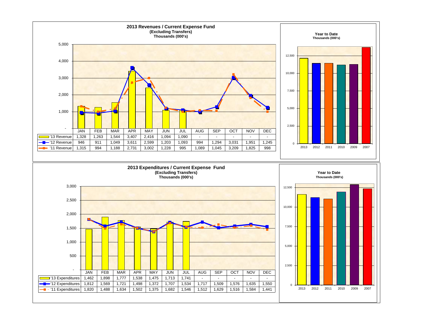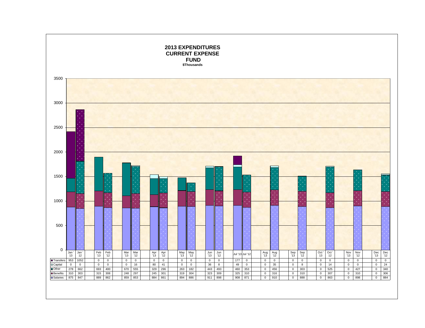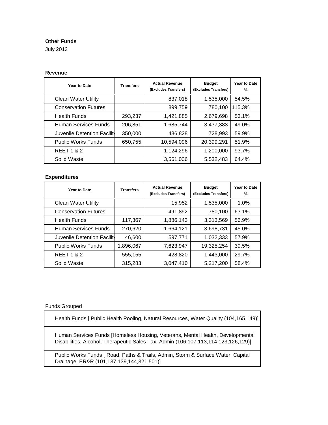### **Other Funds**

July 2013

### **Revenue**

| <b>Year to Date</b>         | <b>Transfers</b> | <b>Actual Revenue</b><br>(Excludes Transfers) | <b>Budget</b><br>(Excludes Transfers) | Year to Date<br>$\%$ |
|-----------------------------|------------------|-----------------------------------------------|---------------------------------------|----------------------|
| <b>Clean Water Utility</b>  |                  | 837,018                                       | 1,535,000                             | 54.5%                |
| <b>Conservation Futures</b> |                  | 899,759                                       | 780,100                               | 115.3%               |
| <b>Health Funds</b>         | 293,237          | 1,421,885                                     | 2,679,698                             | 53.1%                |
| Human Services Funds        | 206,851          | 1,685,744                                     | 3,437,383                             | 49.0%                |
| Juvenile Detention Facility | 350,000          | 436,828                                       | 728,993                               | 59.9%                |
| <b>Public Works Funds</b>   | 650,755          | 10,594,096                                    | 20,399,291                            | 51.9%                |
| <b>REET 1 &amp; 2</b>       |                  | 1,124,296                                     | 1,200,000                             | 93.7%                |
| Solid Waste                 |                  | 3,561,006                                     | 5,532,483                             | 64.4%                |

### **Expenditures**

| Year to Date                | <b>Transfers</b> | <b>Actual Revenue</b><br>(Excludes Transfers) | <b>Budget</b><br>(Excludes Transfers) | <b>Year to Date</b><br>$\%$ |
|-----------------------------|------------------|-----------------------------------------------|---------------------------------------|-----------------------------|
| <b>Clean Water Utility</b>  |                  | 15,952                                        | 1,535,000                             | 1.0%                        |
| <b>Conservation Futures</b> |                  | 491,892                                       | 780,100                               | 63.1%                       |
| <b>Health Funds</b>         | 117,367          | 1,886,143                                     | 3,313,569                             | 56.9%                       |
| Human Services Funds        | 270,620          | 1,664,121                                     | 3,698,731                             | 45.0%                       |
| Juvenile Detention Facility | 46,600           | 597,771                                       | 1,032,333                             | 57.9%                       |
| <b>Public Works Funds</b>   | 1,896,067        | 7,623,947                                     | 19,325,254                            | 39.5%                       |
| <b>REET 1 &amp; 2</b>       | 555,155          | 428,820                                       | 1,443,000                             | 29.7%                       |
| Solid Waste                 | 315,283          | 3,047,410                                     | 5,217,200                             | 58.4%                       |

#### Funds Grouped

Health Funds [ Public Health Pooling, Natural Resources, Water Quality (104,165,149)]

Human Services Funds [Homeless Housing, Veterans, Mental Health, Developmental Disabilities, Alcohol, Therapeutic Sales Tax, Admin (106,107,113,114,123,126,129)]

Public Works Funds [ Road, Paths & Trails, Admin, Storm & Surface Water, Capital Drainage, ER&R (101,137,139,144,321,501)]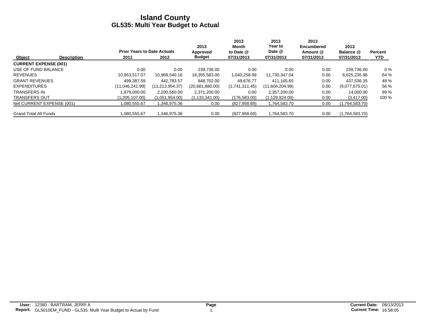|                              |                    |                                    |                 | 2013             | 2013<br>Month  | 2013<br>Year to  | 2013<br>Encumbered | 2013           |                |
|------------------------------|--------------------|------------------------------------|-----------------|------------------|----------------|------------------|--------------------|----------------|----------------|
|                              |                    | <b>Prior Years to Date Actuals</b> |                 | Approved         | to Date $@$    | Date @           | Amount @           | Balance @      | <b>Percent</b> |
| Object                       | <b>Description</b> | 2011                               | 2012            | <b>Budget</b>    | 07/31/2013     | 07/31/2013       | 07/31/2013         | 07/31/2013     | <b>YTD</b>     |
| <b>CURRENT EXPENSE (001)</b> |                    |                                    |                 |                  |                |                  |                    |                |                |
| USE OF FUND BALANCE          |                    | 0.00                               | 0.00            | 239.736.00       | 0.00           | 0.00             | 0.00               | 239,736.00     | $0\%$          |
| <b>REVENUES</b>              |                    | 10.953.517.07                      | 10.969.540.16   | 18,355,583.00    | 1,040,258.99   | 11,730,347.04    | 0.00               | 6,625,235.96   | 64 %           |
| <b>GRANT REVENUES</b>        |                    | 499.387.59                         | 442.783.57      | 848.702.00       | 49.676.77      | 411.165.65       | 0.00               | 437.536.35     | 48 %           |
| <b>EXPENDITURES</b>          |                    | (11,046,241.99)                    | (11,213,954.37) | (20,681,880.00)  | (1,741,311.45) | (11,604,204.99)  | 0.00               | (9,077,675.01) | 56 %           |
| <b>TRANSFERS IN</b>          |                    | 1.879.000.00                       | 2,200,560.00    | 2,371,200.00     | 0.00           | 2.357.200.00     | 0.00               | 14.000.00      | 99 %           |
| <b>TRANSFERS OUT</b>         |                    | (1,205,107.00)                     | (1,051,954.00)  | (1, 133, 341.00) | (176, 583.00)  | (1, 129, 924.00) | 0.00               | (3,417.00)     | 100 %          |
| Net CURRENT EXPENSE (001)    |                    | 080,555.67                         | 1,346,975.36    | 0.00             | (827, 958.69)  | 1,764,583.70     | 0.00               | (1,764,583.70) |                |
| <b>Grand Total All Funds</b> |                    | 1.080.555.67                       | 1,346,975.36    | 0.00             | (827, 958.69)  | 1,764,583.70     | 0.00               | (1,764,583.70) |                |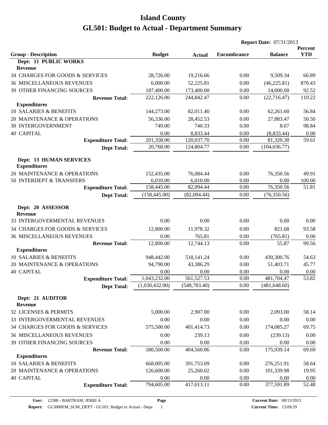|                                                       |                |               |                    | <b>Report Date: 07/31/2013</b> |                       |
|-------------------------------------------------------|----------------|---------------|--------------------|--------------------------------|-----------------------|
| <b>Group - Description</b>                            | <b>Budget</b>  |               | <b>Encumbrance</b> | <b>Balance</b>                 | Percent<br><b>YTD</b> |
| Dept: 11 PUBLIC WORKS                                 |                | <b>Actual</b> |                    |                                |                       |
| <b>Revenue</b>                                        |                |               |                    |                                |                       |
| 34 CHARGES FOR GOODS & SERVICES                       | 28,726.00      | 19,216.66     | 0.00               | 9,509.34                       | 66.89                 |
| <b>36 MISCELLANEOUS REVENUES</b>                      | 6,000.00       | 52,225.81     | 0.00               | (46, 225.81)                   | 870.43                |
| 39 OTHER FINANCING SOURCES                            | 187,400.00     | 173,400.00    | 0.00               | 14,000.00                      | 92.52                 |
| <b>Revenue Total:</b>                                 | 222,126.00     | 244,842.47    | 0.00               | (22, 716.47)                   | 110.22                |
| <b>Expenditures</b>                                   |                |               |                    |                                |                       |
| 10 SALARIES & BENEFITS                                | 144,273.00     | 82,011.40     | 0.00               | 62,261.60                      | 56.84                 |
| 20 MAINTENANCE & OPERATIONS                           | 56,336.00      | 28,452.53     | 0.00               | 27,883.47                      | 50.50                 |
| <b>30 INTERGOVERNMENT</b>                             | 749.00         | 740.33        | 0.00               | 8.67                           | 98.84                 |
| <b>40 CAPITAL</b>                                     | 0.00           | 8,833.44      | 0.00               | (8,833.44)                     | 0.00                  |
| <b>Expenditure Total:</b>                             | 201,358.00     | 120,037.70    | 0.00               | 81,320.30                      | 59.61                 |
| <b>Dept Total:</b>                                    | 20,768.00      | 124,804.77    | 0.00               | (104, 036.77)                  |                       |
| <b>Dept: 13 HUMAN SERVICES</b><br><b>Expenditures</b> |                |               |                    |                                |                       |
| 20 MAINTENANCE & OPERATIONS                           | 152,435.00     | 76,084.44     | 0.00               | 76,350.56                      | 49.91                 |
| 50 INTERDEPT & TRANSFERS                              | 6,010.00       | 6,010.00      | 0.00               | 0.00                           | 100.00                |
| <b>Expenditure Total:</b>                             | 158,445.00     | 82,094.44     | 0.00               | 76,350.56                      | 51.81                 |
| <b>Dept Total:</b>                                    | (158, 445.00)  | (82,094.44)   | 0.00               | (76, 350.56)                   |                       |
| Dept: 20 ASSESSOR<br><b>Revenue</b>                   |                |               |                    |                                |                       |
| 33 INTERGOVERMENTAL REVENUES                          | 0.00           | 0.00          | 0.00               | 0.00                           | 0.00                  |
| 34 CHARGES FOR GOODS & SERVICES                       | 12,800.00      | 11,978.32     | 0.00               | 821.68                         | 93.58                 |
| <b>36 MISCELLANEOUS REVENUES</b>                      | 0.00           | 765.81        | 0.00               | (765.81)                       | 0.00                  |
| <b>Revenue Total:</b>                                 | 12,800.00      | 12,744.13     | 0.00               | 55.87                          | 99.56                 |
| <b>Expenditures</b>                                   |                |               |                    |                                |                       |
| 10 SALARIES & BENEFITS                                | 948,442.00     | 518,141.24    | 0.00               | 430,300.76                     | 54.63                 |
| 20 MAINTENANCE & OPERATIONS                           | 94,790.00      | 43,386.29     | 0.00               | 51,403.71                      | 45.77                 |
| <b>40 CAPITAL</b>                                     | 0.00           | 0.00          | 0.00               | 0.00                           | 0.00                  |
| <b>Expenditure Total:</b>                             | 1,043,232.00   | 561,527.53    | 0.00               | 481,704.47                     | 53.82                 |
| <b>Dept Total:</b>                                    | (1,030,432.00) | (548, 783.40) | 0.00               | (481, 648.60)                  |                       |
| Dept: 21 AUDITOR<br><b>Revenue</b>                    |                |               |                    |                                |                       |
| 32 LICENSES & PERMITS                                 | 5,000.00       | 2,907.00      | 0.00               | 2,093.00                       | 58.14                 |
| 33 INTERGOVERMENTAL REVENUES                          | 0.00           | 0.00          | 0.00               | 0.00                           | 0.00                  |
| 34 CHARGES FOR GOODS & SERVICES                       | 575,500.00     | 401,414.73    | 0.00               | 174,085.27                     | 69.75                 |
| <b>36 MISCELLANEOUS REVENUES</b>                      | 0.00           | 239.13        | 0.00               | (239.13)                       | 0.00                  |
| 39 OTHER FINANCING SOURCES                            | 0.00           | 0.00          | 0.00               | 0.00                           | 0.00                  |
| <b>Revenue Total:</b>                                 | 580,500.00     | 404,560.86    | 0.00               | 175,939.14                     | 69.69                 |
| <b>Expenditures</b>                                   |                |               |                    |                                |                       |
| 10 SALARIES & BENEFITS                                | 668,005.00     | 391,753.09    | 0.00               | 276,251.91                     | 58.64                 |
| 20 MAINTENANCE & OPERATIONS                           | 126,600.00     | 25,260.02     | 0.00               | 101,339.98                     | 19.95                 |
| <b>40 CAPITAL</b>                                     | 0.00           | 0.00          | 0.00               | 0.00                           | 0.00                  |
| <b>Expenditure Total:</b>                             | 794,605.00     | 417,013.11    | 0.00               | 377,591.89                     | 52.48                 |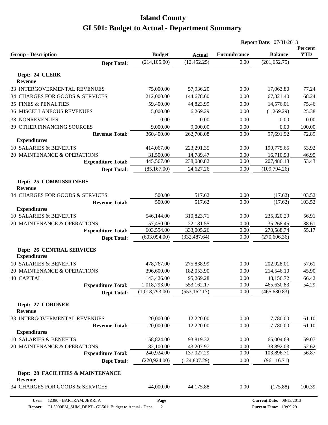|                                                         |                |               |                    | <b>Report Date: 07/31/2013</b> |                       |
|---------------------------------------------------------|----------------|---------------|--------------------|--------------------------------|-----------------------|
| <b>Group - Description</b>                              | <b>Budget</b>  | <b>Actual</b> | <b>Encumbrance</b> | <b>Balance</b>                 | Percent<br><b>YTD</b> |
| <b>Dept Total:</b>                                      | (214, 105.00)  | (12, 452.25)  | 0.00               | (201, 652.75)                  |                       |
|                                                         |                |               |                    |                                |                       |
| Dept: 24 CLERK<br><b>Revenue</b>                        |                |               |                    |                                |                       |
| 33 INTERGOVERMENTAL REVENUES                            | 75,000.00      | 57,936.20     | 0.00               | 17,063.80                      | 77.24                 |
| 34 CHARGES FOR GOODS & SERVICES                         | 212,000.00     | 144,678.60    | 0.00               | 67,321.40                      | 68.24                 |
| <b>35 FINES &amp; PENALTIES</b>                         | 59,400.00      | 44,823.99     | 0.00               | 14,576.01                      | 75.46                 |
| <b>36 MISCELLANEOUS REVENUES</b>                        | 5,000.00       | 6,269.29      | 0.00               | (1,269.29)                     | 125.38                |
| <b>38 NONREVENUES</b>                                   | 0.00           | 0.00          | 0.00               | 0.00                           | 0.00                  |
| 39 OTHER FINANCING SOURCES                              | 9,000.00       | 9,000.00      | 0.00               | 0.00                           | 100.00                |
| <b>Revenue Total:</b>                                   | 360,400.00     | 262,708.08    | 0.00               | 97,691.92                      | 72.89                 |
| <b>Expenditures</b>                                     |                |               |                    |                                |                       |
| 10 SALARIES & BENEFITS                                  | 414,067.00     | 223, 291. 35  | 0.00               | 190,775.65                     | 53.92                 |
| 20 MAINTENANCE & OPERATIONS                             | 31,500.00      | 14,789.47     | 0.00               | 16,710.53                      | 46.95                 |
| <b>Expenditure Total:</b>                               | 445,567.00     | 238,080.82    | 0.00               | 207,486.18                     | 53.43                 |
| <b>Dept Total:</b>                                      | (85, 167.00)   | 24,627.26     | 0.00               | (109, 794.26)                  |                       |
|                                                         |                |               |                    |                                |                       |
| Dept: 25 COMMISSIONERS<br><b>Revenue</b>                |                |               |                    |                                |                       |
| 34 CHARGES FOR GOODS & SERVICES                         | 500.00         | 517.62        | 0.00               | (17.62)                        | 103.52                |
| <b>Revenue Total:</b>                                   | 500.00         | 517.62        | 0.00               | (17.62)                        | 103.52                |
| <b>Expenditures</b>                                     |                |               |                    |                                |                       |
| 10 SALARIES & BENEFITS                                  | 546,144.00     | 310,823.71    | 0.00               | 235,320.29                     | 56.91                 |
| 20 MAINTENANCE & OPERATIONS                             | 57,450.00      | 22,181.55     | 0.00               | 35,268.45                      | 38.61                 |
| <b>Expenditure Total:</b>                               | 603,594.00     | 333,005.26    | 0.00               | 270,588.74                     | 55.17                 |
| <b>Dept Total:</b>                                      | (603,094.00)   | (332, 487.64) | 0.00               | (270, 606.36)                  |                       |
| <b>Dept: 26 CENTRAL SERVICES</b><br><b>Expenditures</b> |                |               |                    |                                |                       |
| 10 SALARIES & BENEFITS                                  | 478,767.00     | 275,838.99    | 0.00               | 202,928.01                     | 57.61                 |
| 20 MAINTENANCE & OPERATIONS                             | 396,600.00     | 182,053.90    | 0.00               | 214,546.10                     | 45.90                 |
| <b>40 CAPITAL</b>                                       | 143,426.00     | 95,269.28     | 0.00               | 48,156.72                      | 66.42                 |
| <b>Expenditure Total:</b>                               | 1,018,793.00   | 553,162.17    | 0.00               | 465,630.83                     | 54.29                 |
| <b>Dept Total:</b>                                      | (1,018,793.00) | (553, 162.17) | 0.00               | (465, 630.83)                  |                       |
|                                                         |                |               |                    |                                |                       |
| Dept: 27 CORONER<br><b>Revenue</b>                      |                |               |                    |                                |                       |
| 33 INTERGOVERMENTAL REVENUES                            | 20,000.00      | 12,220.00     | 0.00               | 7,780.00                       | 61.10                 |
| <b>Revenue Total:</b>                                   | 20,000.00      | 12,220.00     | 0.00               | 7,780.00                       | 61.10                 |
| <b>Expenditures</b>                                     |                |               |                    |                                |                       |
| 10 SALARIES & BENEFITS                                  | 158,824.00     | 93,819.32     | 0.00               | 65,004.68                      | 59.07                 |
| 20 MAINTENANCE & OPERATIONS                             | 82,100.00      | 43,207.97     | 0.00               | 38,892.03                      | 52.62                 |
| <b>Expenditure Total:</b>                               | 240,924.00     | 137,027.29    | 0.00               | 103,896.71                     | 56.87                 |
| <b>Dept Total:</b>                                      | (220, 924.00)  | (124, 807.29) | 0.00               | (96, 116.71)                   |                       |
| Dept: 28 FACILITIES & MAINTENANCE<br><b>Revenue</b>     |                |               |                    |                                |                       |
| 34 CHARGES FOR GOODS & SERVICES                         | 44,000.00      | 44,175.88     | 0.00               | (175.88)                       | 100.39                |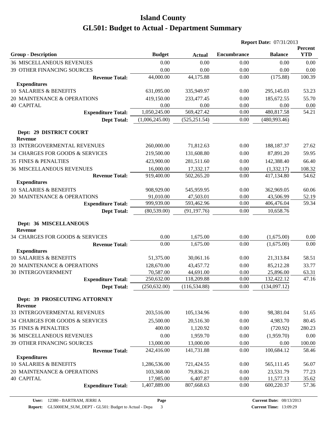|                                                 |                |               |                    | <b>Report Date: 07/31/2013</b> |                       |
|-------------------------------------------------|----------------|---------------|--------------------|--------------------------------|-----------------------|
| <b>Group - Description</b>                      | <b>Budget</b>  | <b>Actual</b> | <b>Encumbrance</b> | <b>Balance</b>                 | Percent<br><b>YTD</b> |
| <b>36 MISCELLANEOUS REVENUES</b>                | 0.00           | 0.00          | 0.00               | 0.00                           | 0.00                  |
| 39 OTHER FINANCING SOURCES                      | 0.00           | 0.00          | 0.00               | 0.00                           | 0.00                  |
| <b>Revenue Total:</b>                           | 44,000.00      | 44,175.88     | 0.00               | (175.88)                       | 100.39                |
| <b>Expenditures</b>                             |                |               |                    |                                |                       |
| 10 SALARIES & BENEFITS                          | 631,095.00     | 335,949.97    | 0.00               | 295,145.03                     | 53.23                 |
| 20 MAINTENANCE & OPERATIONS                     | 419,150.00     | 233,477.45    | 0.00               | 185,672.55                     | 55.70                 |
| <b>40 CAPITAL</b>                               | 0.00           | 0.00          | 0.00               | 0.00                           | 0.00                  |
| <b>Expenditure Total:</b>                       | 1,050,245.00   | 569,427.42    | 0.00               | 480,817.58                     | 54.21                 |
| <b>Dept Total:</b>                              | (1,006,245.00) | (525, 251.54) | 0.00               | (480, 993.46)                  |                       |
| Dept: 29 DISTRICT COURT<br><b>Revenue</b>       |                |               |                    |                                |                       |
| 33 INTERGOVERMENTAL REVENUES                    | 260,000.00     | 71,812.63     | 0.00               | 188, 187. 37                   | 27.62                 |
| 34 CHARGES FOR GOODS & SERVICES                 | 219,500.00     | 131,608.80    | 0.00               | 87,891.20                      | 59.95                 |
| <b>35 FINES &amp; PENALTIES</b>                 | 423,900.00     | 281,511.60    | 0.00               | 142,388.40                     | 66.40                 |
| <b>36 MISCELLANEOUS REVENUES</b>                | 16,000.00      | 17,332.17     | 0.00               | (1,332.17)                     | 108.32                |
| <b>Revenue Total:</b>                           | 919,400.00     | 502,265.20    | 0.00               | 417,134.80                     | 54.62                 |
| <b>Expenditures</b>                             |                |               |                    |                                |                       |
| 10 SALARIES & BENEFITS                          | 908,929.00     | 545,959.95    | 0.00               | 362,969.05                     | 60.06                 |
| 20 MAINTENANCE & OPERATIONS                     | 91,010.00      | 47,503.01     | 0.00               | 43,506.99                      | 52.19                 |
| <b>Expenditure Total:</b>                       | 999,939.00     | 593,462.96    | 0.00               | 406,476.04                     | 59.34                 |
| <b>Dept Total:</b>                              | (80, 539.00)   | (91, 197.76)  | 0.00               | 10,658.76                      |                       |
| Dept: 36 MISCELLANEOUS<br><b>Revenue</b>        |                |               |                    |                                |                       |
| 34 CHARGES FOR GOODS & SERVICES                 | 0.00           | 1,675.00      | 0.00               | (1,675.00)                     | 0.00                  |
| <b>Revenue Total:</b>                           | 0.00           | 1,675.00      | 0.00               | (1,675.00)                     | 0.00                  |
| <b>Expenditures</b>                             |                |               |                    |                                |                       |
| 10 SALARIES & BENEFITS                          | 51,375.00      | 30,061.16     | 0.00               | 21,313.84                      | 58.51                 |
| 20 MAINTENANCE & OPERATIONS                     | 128,670.00     | 43,457.72     | 0.00               | 85,212.28                      | 33.77                 |
| <b>30 INTERGOVERNMENT</b>                       | 70,587.00      | 44,691.00     | 0.00               | 25,896.00                      | 63.31                 |
| <b>Expenditure Total:</b>                       | 250,632.00     | 118,209.88    | 0.00               | 132,422.12                     | 47.16                 |
| <b>Dept Total:</b>                              | (250, 632.00)  | (116, 534.88) | 0.00               | (134,097.12)                   |                       |
| Dept: 39 PROSECUTING ATTORNEY<br><b>Revenue</b> |                |               |                    |                                |                       |
| 33 INTERGOVERMENTAL REVENUES                    | 203,516.00     | 105,134.96    | 0.00               | 98,381.04                      | 51.65                 |
| 34 CHARGES FOR GOODS & SERVICES                 | 25,500.00      | 20,516.30     | 0.00               | 4,983.70                       | 80.45                 |
| 35 FINES & PENALTIES                            | 400.00         | 1,120.92      | 0.00               | (720.92)                       | 280.23                |
| <b>36 MISCELLANEOUS REVENUES</b>                | 0.00           | 1,959.70      | 0.00               | (1,959.70)                     | 0.00                  |
| 39 OTHER FINANCING SOURCES                      | 13,000.00      | 13,000.00     | 0.00               | 0.00                           | 100.00                |
| <b>Revenue Total:</b>                           | 242,416.00     | 141,731.88    | 0.00               | 100,684.12                     | 58.46                 |
| <b>Expenditures</b>                             |                |               |                    |                                |                       |
| 10 SALARIES & BENEFITS                          | 1,286,536.00   | 721,424.55    | 0.00               | 565,111.45                     | 56.07                 |
| 20 MAINTENANCE & OPERATIONS                     | 103,368.00     | 79,836.21     | 0.00               | 23,531.79                      | 77.23                 |
| <b>40 CAPITAL</b>                               | 17,985.00      | 6,407.87      | 0.00               | 11,577.13                      | 35.62                 |
| <b>Expenditure Total:</b>                       | 1,407,889.00   | 807,668.63    | 0.00               | 600,220.37                     | 57.36                 |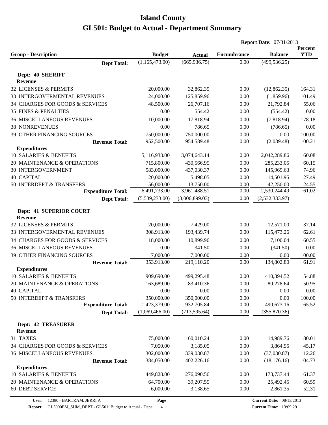|                                               |                                 |                                |                    | <b>Report Date: 07/31/2013</b> |                       |
|-----------------------------------------------|---------------------------------|--------------------------------|--------------------|--------------------------------|-----------------------|
|                                               |                                 |                                | <b>Encumbrance</b> | <b>Balance</b>                 | Percent<br><b>YTD</b> |
| <b>Group - Description</b>                    | <b>Budget</b><br>(1,165,473.00) | <b>Actual</b><br>(665, 936.75) | 0.00               | (499, 536.25)                  |                       |
| <b>Dept Total:</b>                            |                                 |                                |                    |                                |                       |
| Dept: 40 SHERIFF                              |                                 |                                |                    |                                |                       |
| <b>Revenue</b>                                |                                 |                                |                    |                                |                       |
| 32 LICENSES & PERMITS                         | 20,000.00                       | 32,862.35                      | 0.00               | (12,862.35)                    | 164.31                |
| 33 INTERGOVERMENTAL REVENUES                  | 124,000.00                      | 125,859.96                     | 0.00               | (1,859.96)                     | 101.49                |
| 34 CHARGES FOR GOODS & SERVICES               | 48,500.00                       | 26,707.16                      | 0.00               | 21,792.84                      | 55.06                 |
| <b>35 FINES &amp; PENALTIES</b>               | 0.00                            | 554.42                         | 0.00               | (554.42)                       | 0.00                  |
| <b>36 MISCELLANEOUS REVENUES</b>              | 10,000.00                       | 17,818.94                      | 0.00               | (7,818.94)                     | 178.18                |
| <b>38 NONREVENUES</b>                         | 0.00                            | 786.65                         | 0.00               | (786.65)                       | 0.00                  |
| 39 OTHER FINANCING SOURCES                    | 750,000.00                      | 750,000.00                     | 0.00               | 0.00                           | 100.00                |
| <b>Revenue Total:</b>                         | 952,500.00                      | 954,589.48                     | 0.00               | (2,089.48)                     | 100.21                |
| <b>Expenditures</b>                           |                                 |                                |                    |                                |                       |
| 10 SALARIES & BENEFITS                        | 5,116,933.00                    | 3,074,643.14                   | 0.00               | 2,042,289.86                   | 60.08                 |
| 20 MAINTENANCE & OPERATIONS                   | 715,800.00                      | 430,566.95                     | 0.00               | 285,233.05                     | 60.15                 |
| 30 INTERGOVERNMENT                            | 583,000.00                      | 437,030.37                     | 0.00               | 145,969.63                     | 74.96                 |
| <b>40 CAPITAL</b>                             | 20,000.00                       | 5,498.05                       | 0.00               | 14,501.95                      | 27.49                 |
| 50 INTERDEPT & TRANSFERS                      | 56,000.00                       | 13,750.00                      | 0.00               | 42,250.00                      | 24.55                 |
| <b>Expenditure Total:</b>                     | 6,491,733.00                    | 3,961,488.51                   | 0.00               | 2,530,244.49                   | 61.02                 |
| <b>Dept Total:</b>                            | (5,539,233.00)                  | (3,006,899.03)                 | 0.00               | (2,532,333.97)                 |                       |
|                                               |                                 |                                |                    |                                |                       |
| Dept: 41 SUPERIOR COURT<br><b>Revenue</b>     |                                 |                                |                    |                                |                       |
| <b>32 LICENSES &amp; PERMITS</b>              | 20,000.00                       | 7,429.00                       | 0.00               | 12,571.00                      | 37.14                 |
| 33 INTERGOVERMENTAL REVENUES                  | 308,913.00                      | 193,439.74                     | 0.00               | 115,473.26                     | 62.61                 |
| 34 CHARGES FOR GOODS & SERVICES               | 18,000.00                       | 10,899.96                      | 0.00               | 7,100.04                       | 60.55                 |
| <b>36 MISCELLANEOUS REVENUES</b>              | 0.00                            | 341.50                         | 0.00               | (341.50)                       | 0.00                  |
| 39 OTHER FINANCING SOURCES                    | 7,000.00                        | 7,000.00                       | 0.00               | 0.00                           | 100.00                |
| <b>Revenue Total:</b>                         | 353,913.00                      | 219,110.20                     | 0.00               | 134,802.80                     | 61.91                 |
| <b>Expenditures</b>                           |                                 |                                |                    |                                |                       |
| <b>10 SALARIES &amp; BENEFITS</b>             | 909,690.00                      | 499,295.48                     | 0.00               | 410,394.52                     | 54.88                 |
| 20 MAINTENANCE & OPERATIONS                   | 163,689.00                      | 83,410.36                      | 0.00               | 80,278.64                      | 50.95                 |
| <b>40 CAPITAL</b>                             | 0.00                            | 0.00                           | 0.00               | 0.00                           | 0.00                  |
| 50 INTERDEPT & TRANSFERS                      | 350,000.00                      | 350,000.00                     | 0.00               | 0.00                           | 100.00                |
| <b>Expenditure Total:</b>                     | 1,423,379.00                    | 932,705.84                     | 0.00               | 490,673.16                     | 65.52                 |
| <b>Dept Total:</b>                            | (1,069,466.00)                  | (713, 595.64)                  | 0.00               | (355, 870.36)                  |                       |
|                                               |                                 |                                |                    |                                |                       |
| <b>Dept: 42 TREASURER</b>                     |                                 |                                |                    |                                |                       |
| <b>Revenue</b>                                |                                 |                                |                    |                                |                       |
| 31 TAXES                                      | 75,000.00                       | 60,010.24                      | 0.00               | 14,989.76                      | 80.01                 |
| 34 CHARGES FOR GOODS & SERVICES               | 7,050.00                        | 3,185.05                       | 0.00               | 3,864.95                       | 45.17                 |
| <b>36 MISCELLANEOUS REVENUES</b>              | 302,000.00                      | 339,030.87                     | 0.00               | (37,030.87)                    | 112.26<br>104.73      |
| <b>Revenue Total:</b>                         | 384,050.00                      | 402,226.16                     | 0.00               | (18, 176.16)                   |                       |
| <b>Expenditures</b><br>10 SALARIES & BENEFITS | 449,828.00                      | 276,090.56                     | 0.00               | 173,737.44                     | 61.37                 |
| 20 MAINTENANCE & OPERATIONS                   | 64,700.00                       | 39,207.55                      | 0.00               | 25,492.45                      | 60.59                 |
| <b>60 DEBT SERVICE</b>                        | 6,000.00                        | 3,138.65                       | 0.00               | 2,861.35                       | 52.31                 |
|                                               |                                 |                                |                    |                                |                       |

**Report:** GL5000EM\_SUM\_DEPT - GL501: Budget to Actual - Depa 4

**Page**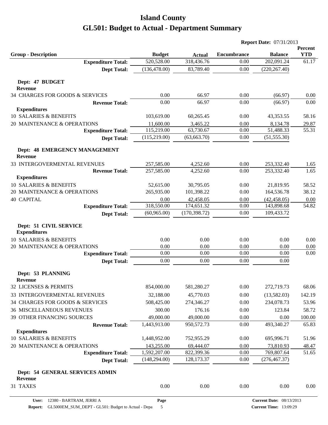|                                                 |                               |                             |                    | <b>Report Date: 07/31/2013</b> |                       |
|-------------------------------------------------|-------------------------------|-----------------------------|--------------------|--------------------------------|-----------------------|
| <b>Group - Description</b>                      |                               |                             | <b>Encumbrance</b> | <b>Balance</b>                 | Percent<br><b>YTD</b> |
| <b>Expenditure Total:</b>                       | <b>Budget</b><br>520,528.00   | <b>Actual</b><br>318,436.76 | 0.00               | 202,091.24                     | 61.17                 |
| <b>Dept Total:</b>                              | (136, 478.00)                 | 83,789.40                   | 0.00               | (220, 267.40)                  |                       |
|                                                 |                               |                             |                    |                                |                       |
| Dept: 47 BUDGET                                 |                               |                             |                    |                                |                       |
| <b>Revenue</b>                                  |                               |                             |                    |                                |                       |
| 34 CHARGES FOR GOODS & SERVICES                 | 0.00                          | 66.97                       | 0.00               | (66.97)                        | 0.00                  |
| <b>Revenue Total:</b>                           | 0.00                          | 66.97                       | 0.00               | (66.97)                        | 0.00                  |
| <b>Expenditures</b>                             |                               |                             |                    |                                |                       |
| 10 SALARIES & BENEFITS                          | 103,619.00                    | 60,265.45                   | 0.00               | 43,353.55                      | 58.16                 |
| 20 MAINTENANCE & OPERATIONS                     | 11,600.00                     | 3,465.22                    | 0.00               | 8,134.78                       | 29.87                 |
| <b>Expenditure Total:</b>                       | 115,219.00                    | 63,730.67                   | 0.00               | 51,488.33                      | 55.31                 |
| <b>Dept Total:</b>                              | (115, 219.00)                 | (63, 663.70)                | 0.00               | (51, 555.30)                   |                       |
| Dept: 48 EMERGENCY MANAGEMENT<br><b>Revenue</b> |                               |                             |                    |                                |                       |
| 33 INTERGOVERMENTAL REVENUES                    | 257,585.00                    | 4,252.60                    | 0.00               | 253,332.40                     | 1.65                  |
| <b>Revenue Total:</b>                           | 257,585.00                    | 4,252.60                    | 0.00               | 253,332.40                     | 1.65                  |
| <b>Expenditures</b>                             |                               |                             |                    |                                |                       |
| 10 SALARIES & BENEFITS                          | 52,615.00                     | 30,795.05                   | 0.00               | 21,819.95                      | 58.52                 |
| 20 MAINTENANCE & OPERATIONS                     | 265,935.00                    | 101,398.22                  | 0.00               | 164,536.78                     | 38.12                 |
| <b>40 CAPITAL</b>                               | 0.00                          | 42,458.05                   | 0.00               | (42, 458.05)                   | 0.00                  |
| <b>Expenditure Total:</b>                       | 318,550.00                    | 174,651.32                  | 0.00               | 143,898.68                     | 54.82                 |
| <b>Dept Total:</b>                              | (60, 965.00)                  | (170, 398.72)               | 0.00               | 109,433.72                     |                       |
| Dept: 51 CIVIL SERVICE<br><b>Expenditures</b>   |                               |                             |                    |                                |                       |
| 10 SALARIES & BENEFITS                          | 0.00                          | 0.00                        | 0.00               | 0.00                           | 0.00                  |
| 20 MAINTENANCE & OPERATIONS                     | 0.00                          | 0.00                        | 0.00               | 0.00                           | 0.00                  |
| <b>Expenditure Total:</b>                       | 0.00                          | 0.00                        | 0.00               | 0.00                           | 0.00                  |
| <b>Dept Total:</b>                              | 0.00                          | 0.00                        | 0.00               | 0.00                           |                       |
| Dept: 53 PLANNING                               |                               |                             |                    |                                |                       |
| <b>Revenue</b>                                  |                               |                             |                    |                                |                       |
| 32 LICENSES & PERMITS                           | 854,000.00                    | 581,280.27                  | 0.00               | 272,719.73                     | 68.06                 |
| 33 INTERGOVERMENTAL REVENUES                    | 32,188.00                     | 45,770.03                   | 0.00               | (13,582.03)                    | 142.19                |
| 34 CHARGES FOR GOODS & SERVICES                 | 508,425.00                    | 274,346.27                  | 0.00               | 234,078.73                     | 53.96                 |
| <b>36 MISCELLANEOUS REVENUES</b>                | 300.00                        | 176.16                      | 0.00               | 123.84                         | 58.72                 |
| 39 OTHER FINANCING SOURCES                      | 49,000.00                     | 49,000.00                   | 0.00               | 0.00                           | $100.00\,$            |
| <b>Revenue Total:</b>                           | 1,443,913.00                  | 950,572.73                  | 0.00               | 493,340.27                     | 65.83                 |
| <b>Expenditures</b>                             |                               |                             |                    |                                |                       |
| 10 SALARIES & BENEFITS                          | 1,448,952.00                  | 752,955.29                  | 0.00               | 695,996.71                     | 51.96                 |
| 20 MAINTENANCE & OPERATIONS                     | 143,255.00                    | 69,444.07                   | 0.00               | 73,810.93                      | 48.47                 |
| <b>Expenditure Total:</b>                       | 1,592,207.00<br>(148, 294.00) | 822,399.36<br>128,173.37    | 0.00<br>0.00       | 769,807.64<br>(276, 467.37)    | 51.65                 |
| <b>Dept Total:</b>                              |                               |                             |                    |                                |                       |
| Dept: 54 GENERAL SERVICES ADMIN<br>Revenue      |                               |                             |                    |                                |                       |
| 31 TAXES                                        | $0.00\,$                      | $0.00\,$                    | 0.00               | 0.00                           | 0.00                  |
|                                                 |                               |                             |                    |                                |                       |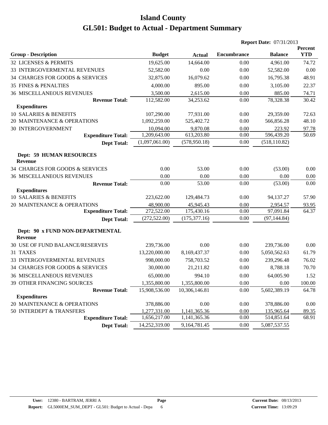|                                                    |                |               |                    | <b>Report Date: 07/31/2013</b> |                       |
|----------------------------------------------------|----------------|---------------|--------------------|--------------------------------|-----------------------|
| <b>Group - Description</b>                         | <b>Budget</b>  | <b>Actual</b> | <b>Encumbrance</b> | <b>Balance</b>                 | Percent<br><b>YTD</b> |
| 32 LICENSES & PERMITS                              | 19,625.00      | 14,664.00     | 0.00               | 4,961.00                       | 74.72                 |
| 33 INTERGOVERMENTAL REVENUES                       | 52,582.00      | 0.00          | 0.00               | 52,582.00                      | 0.00                  |
| 34 CHARGES FOR GOODS & SERVICES                    | 32,875.00      | 16,079.62     | 0.00               | 16,795.38                      | 48.91                 |
| <b>35 FINES &amp; PENALTIES</b>                    | 4,000.00       | 895.00        | 0.00               | 3,105.00                       | 22.37                 |
| <b>36 MISCELLANEOUS REVENUES</b>                   | 3,500.00       | 2,615.00      | 0.00               | 885.00                         | 74.71                 |
| <b>Revenue Total:</b>                              | 112,582.00     | 34,253.62     | 0.00               | 78,328.38                      | 30.42                 |
| <b>Expenditures</b>                                |                |               |                    |                                |                       |
| 10 SALARIES & BENEFITS                             | 107,290.00     | 77,931.00     | 0.00               | 29,359.00                      | 72.63                 |
| 20 MAINTENANCE & OPERATIONS                        | 1,092,259.00   | 525,402.72    | 0.00               | 566,856.28                     | 48.10                 |
| 30 INTERGOVERNMENT                                 | 10,094.00      | 9,870.08      | 0.00               | 223.92                         | 97.78                 |
| <b>Expenditure Total:</b>                          | 1,209,643.00   | 613,203.80    | 0.00               | 596,439.20                     | 50.69                 |
| <b>Dept Total:</b>                                 | (1,097,061.00) | (578, 950.18) | 0.00               | (518, 110.82)                  |                       |
| <b>Dept: 59 HUMAN RESOURCES</b><br><b>Revenue</b>  |                |               |                    |                                |                       |
| 34 CHARGES FOR GOODS & SERVICES                    | 0.00           | 53.00         | 0.00               | (53.00)                        | 0.00                  |
| <b>36 MISCELLANEOUS REVENUES</b>                   | 0.00           | 0.00          | 0.00               | 0.00                           | 0.00                  |
| <b>Revenue Total:</b>                              | 0.00           | 53.00         | 0.00               | (53.00)                        | 0.00                  |
| <b>Expenditures</b>                                |                |               |                    |                                |                       |
| 10 SALARIES & BENEFITS                             | 223,622.00     | 129,484.73    | 0.00               | 94,137.27                      | 57.90                 |
| 20 MAINTENANCE & OPERATIONS                        | 48,900.00      | 45,945.43     | 0.00               | 2,954.57                       | 93.95                 |
| <b>Expenditure Total:</b>                          | 272,522.00     | 175,430.16    | 0.00               | 97,091.84                      | 64.37                 |
| <b>Dept Total:</b>                                 | (272, 522.00)  | (175, 377.16) | 0.00               | (97, 144.84)                   |                       |
| Dept: 90 x FUND NON-DEPARTMENTAL<br><b>Revenue</b> |                |               |                    |                                |                       |
| 30 USE OF FUND BALANCE/RESERVES                    | 239,736.00     | 0.00          | 0.00               | 239,736.00                     | 0.00                  |
| 31 TAXES                                           | 13,220,000.00  | 8,169,437.37  | 0.00               | 5,050,562.63                   | 61.79                 |
| 33 INTERGOVERMENTAL REVENUES                       | 998,000.00     | 758,703.52    | 0.00               | 239,296.48                     | 76.02                 |
| 34 CHARGES FOR GOODS & SERVICES                    | 30,000.00      | 21,211.82     | 0.00               | 8,788.18                       | 70.70                 |
| <b>36 MISCELLANEOUS REVENUES</b>                   | 65,000.00      | 994.10        | 0.00               | 64,005.90                      | 1.52                  |
| 39 OTHER FINANCING SOURCES                         | 1,355,800.00   | 1,355,800.00  | 0.00               | 0.00                           | 100.00                |
| <b>Revenue Total:</b>                              | 15,908,536.00  | 10,306,146.81 | 0.00               | 5,602,389.19                   | 64.78                 |
| <b>Expenditures</b>                                |                |               |                    |                                |                       |
| 20 MAINTENANCE & OPERATIONS                        | 378,886.00     | 0.00          | 0.00               | 378,886.00                     | 0.00                  |
| 50 INTERDEPT & TRANSFERS                           | 1,277,331.00   | 1,141,365.36  | 0.00               | 135,965.64                     | 89.35                 |
| <b>Expenditure Total:</b>                          | 1,656,217.00   | 1,141,365.36  | 0.00               | 514,851.64                     | 68.91                 |
| <b>Dept Total:</b>                                 | 14,252,319.00  | 9,164,781.45  | 0.00               | 5,087,537.55                   |                       |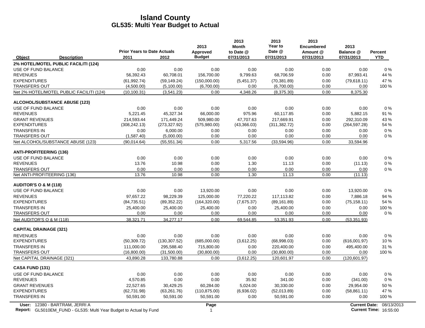|                                                                                                             | <b>Prior Years to Date Actuals</b> |               | 2013<br><b>Approved</b> | 2013<br><b>Month</b><br>to Date @ | 2013<br>Year to<br>Date @ | 2013<br><b>Encumbered</b><br>Amount @ | 2013<br>Balance @ | <b>Percent</b>                                            |
|-------------------------------------------------------------------------------------------------------------|------------------------------------|---------------|-------------------------|-----------------------------------|---------------------------|---------------------------------------|-------------------|-----------------------------------------------------------|
| Object<br><b>Description</b>                                                                                | 2011                               | 2012          | <b>Budget</b>           | 07/31/2013                        | 07/31/2013                | 07/31/2013                            | 07/31/2013        | <b>YTD</b>                                                |
| 2% HOTEL/MOTEL PUBLIC FACILITI (124)                                                                        |                                    |               |                         |                                   |                           |                                       |                   |                                                           |
| USE OF FUND BALANCE                                                                                         | 0.00                               | 0.00          | 0.00                    | 0.00                              | 0.00                      | 0.00                                  | 0.00              | 0%                                                        |
| <b>REVENUES</b>                                                                                             | 56,392.43                          | 60,708.01     | 156,700.00              | 9,799.63                          | 68,706.59                 | 0.00                                  | 87,993.41         | 44 %                                                      |
| <b>EXPENDITURES</b>                                                                                         | (61, 992.74)                       | (59, 149.24)  | (150,000.00)            | (5,451.37)                        | (70, 381.89)              | 0.00                                  | (79,618.11)       | 47 %                                                      |
| <b>TRANSFERS OUT</b>                                                                                        | (4,500.00)                         | (5,100.00)    | (6,700.00)              | 0.00                              | (6,700.00)                | 0.00                                  | 0.00              | 100 %                                                     |
| Net 2% HOTEL/MOTEL PUBLIC FACILITI (124)                                                                    | (10, 100.31)                       | (3,541.23)    | 0.00                    | 4,348.26                          | (8,375.30)                | 0.00                                  | 8,375.30          |                                                           |
| <b>ALCOHOL/SUBSTANCE ABUSE (123)</b>                                                                        |                                    |               |                         |                                   |                           |                                       |                   |                                                           |
| USE OF FUND BALANCE                                                                                         | 0.00                               | 0.00          | 0.00                    | 0.00                              | 0.00                      | 0.00                                  | 0.00              | 0%                                                        |
| <b>REVENUES</b>                                                                                             | 5,221.45                           | 45,327.34     | 66,000.00               | 975.96                            | 60,117.85                 | 0.00                                  | 5,882.15          | 91%                                                       |
| <b>GRANT REVENUES</b>                                                                                       | 214.593.44                         | 171.449.24    | 509.980.00              | 47.707.63                         | 217.669.91                | 0.00                                  | 292.310.09        | 43 %                                                      |
| <b>EXPENDITURES</b>                                                                                         | (308, 242.13)                      | (273, 327.92) | (575,980.00)            | (43,366.03)                       | (311, 382.72)             | 0.00                                  | (264, 597.28)     | 54 %                                                      |
| <b>TRANSFERS IN</b>                                                                                         | 0.00                               | 6,000.00      | 0.00                    | 0.00                              | 0.00                      | 0.00                                  | 0.00              | $0\%$                                                     |
| <b>TRANSFERS OUT</b>                                                                                        | (1,587.40)                         | (5,000.00)    | 0.00                    | 0.00                              | 0.00                      | 0.00                                  | 0.00              | $0\%$                                                     |
| Net ALCOHOL/SUBSTANCE ABUSE (123)                                                                           | (90.014.64)                        | (55, 551.34)  | 0.00                    | 5,317.56                          | (33,594.96)               | 0.00                                  | 33,594.96         |                                                           |
| <b>ANTI-PROFITEERING (136)</b>                                                                              |                                    |               |                         |                                   |                           |                                       |                   |                                                           |
| USE OF FUND BALANCE                                                                                         | 0.00                               | 0.00          | 0.00                    | 0.00                              | 0.00                      | 0.00                                  | 0.00              | $0\%$                                                     |
| <b>REVENUES</b>                                                                                             | 13.76                              | 10.98         | 0.00                    | 1.30                              | 11.13                     | 0.00                                  | (11.13)           | $0\%$                                                     |
| <b>TRANSFERS OUT</b>                                                                                        | 0.00                               | 0.00          | 0.00                    | 0.00                              | 0.00                      | 0.00                                  | 0.00              | $0\%$                                                     |
| Net ANTI-PROFITEERING (136)                                                                                 | 13.76                              | 10.98         | 0.00                    | 1.30                              | 11.13                     | 0.00                                  | (11.13)           |                                                           |
| <b>AUDITOR'S O &amp; M (118)</b>                                                                            |                                    |               |                         |                                   |                           |                                       |                   |                                                           |
| USE OF FUND BALANCE                                                                                         | 0.00                               | 0.00          | 13,920.00               | 0.00                              | 0.00                      | 0.00                                  | 13,920.00         | 0%                                                        |
| <b>REVENUES</b>                                                                                             | 97,657.22                          | 98,229.39     | 125,000.00              | 77,220.22                         | 117,113.82                | 0.00                                  | 7,886.18          | 94 %                                                      |
| <b>EXPENDITURES</b>                                                                                         | (84, 735.51)                       | (89, 352.22)  | (164, 320.00)           | (7,675.37)                        | (89, 161.89)              | 0.00                                  | (75, 158.11)      | 54 %                                                      |
| <b>TRANSFERS IN</b>                                                                                         | 25,400.00                          | 25,400.00     | 25,400.00               | 0.00                              | 25,400.00                 | 0.00                                  | 0.00              | 100 %                                                     |
| <b>TRANSFERS OUT</b>                                                                                        | 0.00                               | 0.00          | 0.00                    | 0.00                              | 0.00                      | 0.00                                  | 0.00              | $0\%$                                                     |
| Net AUDITOR'S O & M (118)                                                                                   | 38.321.71                          | 34,277.17     | 0.00                    | 69,544.85                         | 53.351.93                 | 0.00                                  | (53, 351.93)      |                                                           |
| <b>CAPITAL DRAINAGE (321)</b>                                                                               |                                    |               |                         |                                   |                           |                                       |                   |                                                           |
| <b>REVENUES</b>                                                                                             | 0.00                               | 0.00          | 0.00                    | 0.00                              | 0.00                      | 0.00                                  | 0.00              | 0%                                                        |
| <b>EXPENDITURES</b>                                                                                         | (50, 309.72)                       | (130, 307.52) | (685,000.00)            | (3,612.25)                        | (68,998.03)               | 0.00                                  | (616,001.97)      | 10%                                                       |
| <b>TRANSFERS IN</b>                                                                                         | 111,000.00                         | 295,588.40    | 715,800.00              | 0.00                              | 220,400.00                | 0.00                                  | 495,400.00        | 31 %                                                      |
| <b>TRANSFERS OUT</b>                                                                                        | (16,800.00)                        | (31,500.00)   | (30,800.00)             | 0.00                              | (30,800.00)               | 0.00                                  | 0.00              | 100 %                                                     |
| Net CAPITAL DRAINAGE (321)                                                                                  | 43,890.28                          | 133,780.88    | 0.00                    | (3,612.25)                        | 120,601.97                | 0.00                                  | (120, 601.97)     |                                                           |
| CASA FUND (131)                                                                                             |                                    |               |                         |                                   |                           |                                       |                   |                                                           |
| USE OF FUND BALANCE                                                                                         | 0.00                               | 0.00          | 0.00                    | 0.00                              | 0.00                      | 0.00                                  | 0.00              | 0%                                                        |
| <b>REVENUES</b>                                                                                             | 4,570.85                           | 0.00          | 0.00                    | 35.92                             | 341.00                    | 0.00                                  | (341.00)          | 0%                                                        |
| <b>GRANT REVENUES</b>                                                                                       | 22,527.65                          | 30,429.25     | 60,284.00               | 5,024.00                          | 30,330.00                 | 0.00                                  | 29,954.00         | 50 %                                                      |
| <b>EXPENDITURES</b>                                                                                         | (62, 731.98)                       | (63,261.76)   | (110, 875.00)           | (6,936.02)                        | (52,013.89)               | 0.00                                  | (58, 861.11)      | 47 %                                                      |
| <b>TRANSFERS IN</b>                                                                                         | 50,591.00                          | 50,591.00     | 50,591.00               | 0.00                              | 50,591.00                 | 0.00                                  | 0.00              | 100 %                                                     |
| User: 12380 - BARTRAM, JERRI A<br><b>Report:</b> GL5010EM FUND - GL535: Multi Year Budget to Actual by Fund |                                    |               | Page<br>$\mathbf{1}$    |                                   |                           |                                       |                   | Current Date: 08/13/2013<br><b>Current Time: 16:55:00</b> |

**Report:** 1 **Current Time:** GL5010EM\_FUND - GL535: Multi Year Budget to Actual by Fund 16:55:00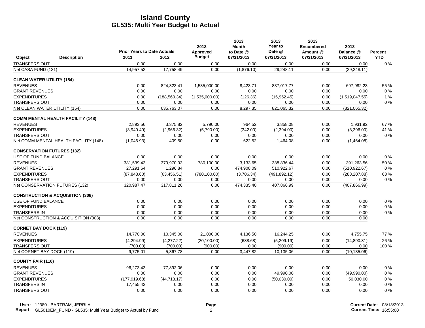|                                             |                    | <b>Prior Years to Date Actuals</b> |               | 2013<br>Approved | 2013<br><b>Month</b><br>to Date @ | 2013<br>Year to<br>Date @ | 2013<br><b>Encumbered</b><br>Amount @ | 2013<br>Balance @ | Percent    |
|---------------------------------------------|--------------------|------------------------------------|---------------|------------------|-----------------------------------|---------------------------|---------------------------------------|-------------------|------------|
| Object                                      | <b>Description</b> | 2011                               | 2012          | <b>Budget</b>    | 07/31/2013                        | 07/31/2013                | 07/31/2013                            | 07/31/2013        | <b>YTD</b> |
| TRANSFERS OUT                               |                    | 0.00                               | 0.00          | 0.00             | 0.00                              | 0.00                      | 0.00                                  | 0.00              | $0\%$      |
| Net CASA FUND (131)                         |                    | 14,957.52                          | 17,758.49     | 0.00             | (1,876.10)                        | 29,248.11                 | 0.00                                  | (29, 248.11)      |            |
| <b>CLEAN WATER UTILITY (154)</b>            |                    |                                    |               |                  |                                   |                           |                                       |                   |            |
| <b>REVENUES</b>                             |                    | 0.00                               | 824,323.41    | 1,535,000.00     | 8,423.71                          | 837,017.77                | 0.00                                  | 697,982.23        | 55 %       |
| <b>GRANT REVENUES</b>                       |                    | 0.00                               | 0.00          | 0.00             | 0.00                              | 0.00                      | 0.00                                  | 0.00              | $0\%$      |
| <b>EXPENDITURES</b>                         |                    | 0.00                               | (188, 560.34) | (1,535,000.00)   | (126.36)                          | (15,952.45)               | 0.00                                  | (1,519,047.55)    | 1%         |
| <b>TRANSFERS OUT</b>                        |                    | 0.00                               | 0.00          | 0.00             | 0.00                              | 0.00                      | 0.00                                  | 0.00              | $0\%$      |
| Net CLEAN WATER UTILITY (154)               |                    | 0.00                               | 635,763.07    | 0.00             | 8,297.35                          | 821,065.32                | 0.00                                  | (821,065.32)      |            |
| <b>COMM MENTAL HEALTH FACILITY (148)</b>    |                    |                                    |               |                  |                                   |                           |                                       |                   |            |
| <b>REVENUES</b>                             |                    | 2.893.56                           | 3,375.82      | 5,790.00         | 964.52                            | 3,858.08                  | 0.00                                  | 1,931.92          | 67 %       |
| <b>EXPENDITURES</b>                         |                    | (3,940.49)                         | (2,966.32)    | (5,790.00)       | (342.00)                          | (2,394.00)                | 0.00                                  | (3,396.00)        | 41 %       |
| <b>TRANSFERS OUT</b>                        |                    | 0.00                               | 0.00          | 0.00             | 0.00                              | 0.00                      | 0.00                                  | 0.00              | $0\%$      |
| Net COMM MENTAL HEALTH FACILITY (148)       |                    | (1,046.93)                         | 409.50        | 0.00             | 622.52                            | 1,464.08                  | 0.00                                  | (1,464.08)        |            |
| <b>CONSERVATION FUTURES (132)</b>           |                    |                                    |               |                  |                                   |                           |                                       |                   |            |
| USE OF FUND BALANCE                         |                    | 0.00                               | 0.00          | 0.00             | 0.00                              | 0.00                      | 0.00                                  | 0.00              | $0\%$      |
| <b>REVENUES</b>                             |                    | 381,539.43                         | 379,970.93    | 780,100.00       | 3,133.65                          | 388,836.44                | 0.00                                  | 391,263.56        | 50 %       |
| <b>GRANT REVENUES</b>                       |                    | 27,291.64                          | 1,296.84      | 0.00             | 474,908.09                        | 510,922.67                | 0.00                                  | (510, 922.67)     | $0\%$      |
| <b>EXPENDITURES</b>                         |                    | (87, 843.60)                       | (63, 456.51)  | (780, 100.00)    | (3,706.34)                        | (491, 892.12)             | 0.00                                  | (288, 207.88)     | 63%        |
| <b>TRANSFERS OUT</b>                        |                    | 0.00                               | 0.00          | 0.00             | 0.00                              | 0.00                      | 0.00                                  | 0.00              | $0\%$      |
| Net CONSERVATION FUTURES (132)              |                    | 320,987.47                         | 317,811.26    | 0.00             | 474,335.40                        | 407,866.99                | 0.00                                  | (407, 866.99)     |            |
| <b>CONSTRUCTION &amp; ACQUISITION (308)</b> |                    |                                    |               |                  |                                   |                           |                                       |                   |            |
| USE OF FUND BALANCE                         |                    | 0.00                               | 0.00          | 0.00             | 0.00                              | 0.00                      | 0.00                                  | 0.00              | $0\%$      |
| <b>EXPENDITURES</b>                         |                    | 0.00                               | 0.00          | 0.00             | 0.00                              | 0.00                      | 0.00                                  | 0.00              | $0\%$      |
| <b>TRANSFERS IN</b>                         |                    | 0.00                               | 0.00          | 0.00             | 0.00                              | 0.00                      | 0.00                                  | 0.00              | $0\%$      |
| Net CONSTRUCTION & ACQUISITION (308)        |                    | 0.00                               | 0.00          | 0.00             | 0.00                              | 0.00                      | 0.00                                  | 0.00              |            |
| <b>CORNET BAY DOCK (119)</b>                |                    |                                    |               |                  |                                   |                           |                                       |                   |            |
| <b>REVENUES</b>                             |                    | 14,770.00                          | 10,345.00     | 21,000.00        | 4,136.50                          | 16,244.25                 | 0.00                                  | 4,755.75          | 77 %       |
| <b>EXPENDITURES</b>                         |                    | (4,294.99)                         | (4,277.22)    | (20, 100.00)     | (688.68)                          | (5,209.19)                | 0.00                                  | (14,890.81)       | 26 %       |
| <b>TRANSFERS OUT</b>                        |                    | (700.00)                           | (700.00)      | (900.00)         | 0.00                              | (900.00)                  | 0.00                                  | 0.00              | 100 %      |
| Net CORNET BAY DOCK (119)                   |                    | 9,775.01                           | 5,367.78      | 0.00             | 3.447.82                          | 10.135.06                 | 0.00                                  | (10, 135.06)      |            |
| <b>COUNTY FAIR (110)</b>                    |                    |                                    |               |                  |                                   |                           |                                       |                   |            |
| <b>REVENUES</b>                             |                    | 96,273.43                          | 77,892.06     | 0.00             | 0.00                              | 0.00                      | 0.00                                  | 0.00              | $0\%$      |
| <b>GRANT REVENUES</b>                       |                    | 0.00                               | 0.00          | 0.00             | 0.00                              | 49,990.00                 | 0.00                                  | (49,990.00)       | $0\%$      |
| <b>EXPENDITURES</b>                         |                    | (177, 919.68)                      | (44, 713.17)  | 0.00             | 0.00                              | (50,030.00)               | 0.00                                  | 50,030.00         | $0\%$      |
| <b>TRANSFERS IN</b>                         |                    | 17,455.42                          | 0.00          | 0.00             | 0.00                              | 0.00                      | 0.00                                  | 0.00              | $0\%$      |
| <b>TRANSFERS OUT</b>                        |                    | 0.00                               | 0.00          | 0.00             | 0.00                              | 0.00                      | 0.00                                  | 0.00              | $0\%$      |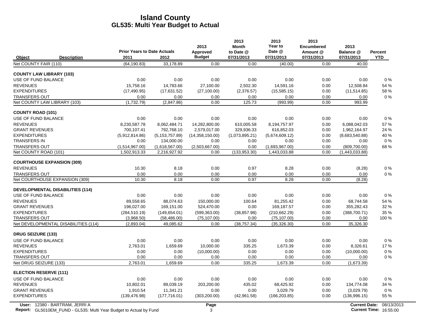|                                               |                                    |                                | 2013                   | 2013<br><b>Month</b>   | 2013<br>Year to                | 2013<br><b>Encumbered</b> | 2013                            |                |
|-----------------------------------------------|------------------------------------|--------------------------------|------------------------|------------------------|--------------------------------|---------------------------|---------------------------------|----------------|
|                                               | <b>Prior Years to Date Actuals</b> |                                | Approved               | to Date @              | Date @                         | Amount @                  | Balance @                       | <b>Percent</b> |
| Object<br><b>Description</b>                  | 2011                               | 2012                           | <b>Budget</b>          | 07/31/2013             | 07/31/2013                     | 07/31/2013                | 07/31/2013                      | <b>YTD</b>     |
| Net COUNTY FAIR (110)                         | (64, 190.83)                       | 33,178.89                      | 0.00                   | 0.00                   | (40.00)                        | 0.00                      | 40.00                           |                |
| <b>COUNTY LAW LIBRARY (103)</b>               |                                    |                                |                        |                        |                                |                           |                                 |                |
| USE OF FUND BALANCE                           | 0.00                               | 0.00                           | 0.00                   | 0.00                   | 0.00                           | 0.00                      | 0.00                            | $0\%$          |
| <b>REVENUES</b>                               | 15,758.16                          | 14,783.66                      | 27,100.00              | 2,502.30               | 14,591.16                      | 0.00                      | 12,508.84                       | 54 %           |
| <b>EXPENDITURES</b>                           | (17, 490.95)                       | (17,631.52)                    | (27, 100.00)           | (2,376.57)             | (15,585.15)                    | 0.00                      | (11, 514.85)                    | 58 %           |
| <b>TRANSFERS OUT</b>                          | 0.00                               | 0.00                           | 0.00                   | 0.00                   | 0.00                           | 0.00                      | 0.00                            | $0\%$          |
| Net COUNTY LAW LIBRARY (103)                  | (1,732.79)                         | (2,847.86)                     | 0.00                   | 125.73                 | (993.99)                       | 0.00                      | 993.99                          |                |
| <b>COUNTY ROAD (101)</b>                      |                                    |                                |                        |                        |                                |                           |                                 |                |
| USE OF FUND BALANCE                           | 0.00                               | 0.00                           | 0.00                   | 0.00                   | 0.00                           | 0.00                      | 0.00                            | 0%             |
| <b>REVENUES</b>                               | 8.230.587.78                       | 8.062.484.71                   | 14,282,800.00          | 610.005.58             | 8,194,757.97                   | 0.00                      | 6.088.042.03                    | 57%            |
| <b>GRANT REVENUES</b>                         | 700,107.41                         | 792,768.10                     | 2,579,017.00           | 329,936.33             | 616,852.03                     | 0.00                      | 1,962,164.97                    | 24 %           |
| <b>EXPENDITURES</b>                           | (5,912,814.86)                     | (5, 153, 757.89)               | (14,358,150.00)        | (1,073,895.21)         | (5,674,609.12)                 | 0.00                      | (8,683,540.88)                  | 40%            |
| <b>TRANSFERS IN</b>                           | 0.00                               | 134,000.00                     | 0.00                   | 0.00                   | 0.00                           | 0.00                      | 0.00                            | $0\%$          |
| <b>TRANSFERS OUT</b><br>Net COUNTY ROAD (101) | (1,514,967.00)<br>1,502,913.33     | (1,618,567.00)<br>2,216,927.92 | (2,503,667.00)<br>0.00 | 0.00<br>(133, 953, 30) | (1,693,967.00)<br>1,443,033.88 | 0.00<br>0.00              | (809, 700.00)<br>(1,443,033.88) | 68%            |
|                                               |                                    |                                |                        |                        |                                |                           |                                 |                |
| <b>COURTHOUSE EXPANSION (309)</b>             |                                    |                                |                        |                        |                                |                           |                                 |                |
| <b>REVENUES</b>                               | 10.30                              | 8.18                           | 0.00                   | 0.97                   | 8.28                           | 0.00                      | (8.28)                          | $0\%$          |
| <b>TRANSFERS OUT</b>                          | 0.00                               | 0.00                           | 0.00                   | 0.00                   | 0.00                           | 0.00                      | 0.00                            | $0\%$          |
| Net COURTHOUSE EXPANSION (309)                | 10.30                              | 8.18                           | 0.00                   | 0.97                   | 8.28                           | 0.00                      | (8.28)                          |                |
| <b>DEVELOPMENTAL DISABILITIES (114)</b>       |                                    |                                |                        |                        |                                |                           |                                 |                |
| USE OF FUND BALANCE                           | 0.00                               | 0.00                           | 0.00                   | 0.00                   | 0.00                           | 0.00                      | 0.00                            | 0%             |
| <b>REVENUES</b>                               | 89.558.65                          | 88.074.63                      | 150,000.00             | 100.64                 | 81.255.42                      | 0.00                      | 68.744.58                       | 54 %           |
| <b>GRANT REVENUES</b>                         | 196.027.00                         | 169,151.00                     | 524,470.00             | 0.00                   | 169,187.57                     | 0.00                      | 355,282.43                      | 32 %           |
| <b>EXPENDITURES</b>                           | (284, 510.19)                      | (149, 654.01)                  | (599, 363.00)          | (38, 857.98)           | (210, 662.29)                  | 0.00                      | (388,700.71)                    | 35 %           |
| <b>TRANSFERS OUT</b>                          | (3,968.50)                         | (58, 486.00)                   | (75, 107.00)           | 0.00                   | (75, 107.00)                   | 0.00                      | 0.00                            | 100 %          |
| Net DEVELOPMENTAL DISABILITIES (114)          | (2,893.04)                         | 49,085.62                      | 0.00                   | (38, 757.34)           | (35, 326.30)                   | 0.00                      | 35,326.30                       |                |
| <b>DRUG SEIZURE (133)</b>                     |                                    |                                |                        |                        |                                |                           |                                 |                |
| USE OF FUND BALANCE                           | 0.00                               | 0.00                           | 0.00                   | 0.00                   | 0.00                           | 0.00                      | 0.00                            | $0\%$          |
| <b>REVENUES</b>                               | 2.763.01                           | 1,659.69                       | 10,000.00              | 335.25                 | 1,673.39                       | 0.00                      | 8,326.61                        | 17%            |
| <b>EXPENDITURES</b>                           | 0.00                               | 0.00                           | (10,000.00)            | 0.00                   | 0.00                           | 0.00                      | (10,000.00)                     | $0\%$          |
| <b>TRANSFERS OUT</b>                          | 0.00                               | 0.00                           | 0.00                   | 0.00                   | 0.00                           | 0.00                      | 0.00                            | 0%             |
| Net DRUG SEIZURE (133)                        | 2,763.01                           | 1,659.69                       | 0.00                   | 335.25                 | 1,673.39                       | 0.00                      | (1,673.39)                      |                |
| <b>ELECTION RESERVE (111)</b>                 |                                    |                                |                        |                        |                                |                           |                                 |                |
| USE OF FUND BALANCE                           | 0.00                               | 0.00                           | 0.00                   | 0.00                   | 0.00                           | 0.00                      | 0.00                            | $0\%$          |
| <b>REVENUES</b>                               | 10,802.01                          | 89,039.19                      | 203,200.00             | 435.02                 | 68,425.92                      | 0.00                      | 134,774.08                      | 34 %           |
| <b>GRANT REVENUES</b>                         | 1.910.54                           | 11,341.21                      | 0.00                   | 0.00                   | 3.029.79                       | 0.00                      | (3,029.79)                      | 0%             |
| <b>EXPENDITURES</b>                           | (139, 476.98)                      | (177, 716.01)                  | (303, 200.00)          | (42, 961.58)           | (166, 203.85)                  | 0.00                      | (136,996.15)                    | 55 %           |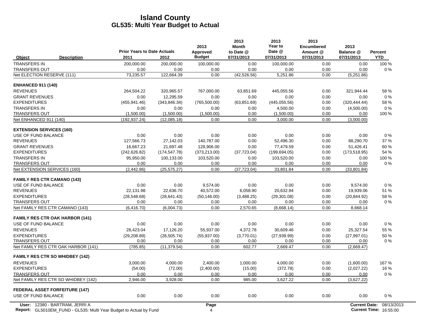|                                        | <b>Prior Years to Date Actuals</b> |               | 2013<br>Approved | 2013<br><b>Month</b><br>to Date @ | 2013<br>Year to<br>Date @ | 2013<br><b>Encumbered</b><br>Amount @ | 2013<br>Balance @    | Percent    |
|----------------------------------------|------------------------------------|---------------|------------------|-----------------------------------|---------------------------|---------------------------------------|----------------------|------------|
| <b>Description</b><br>Object           | 2011                               | 2012          | <b>Budget</b>    | 07/31/2013                        | 07/31/2013                | 07/31/2013                            | 07/31/2013           | <b>YTD</b> |
| <b>TRANSFERS IN</b>                    | 200,000.00                         | 200,000.00    | 100,000.00       | 0.00                              | 100,000.00                | 0.00                                  | 0.00                 | 100 %      |
| <b>TRANSFERS OUT</b>                   | 0.00                               | 0.00          | 0.00             | 0.00                              | 0.00                      | 0.00                                  | 0.00                 | 0%         |
| Net ELECTION RESERVE (111)             | 73,235.57                          | 122,664.39    | 0.00             | (42, 526.56)                      | 5,251.86                  | 0.00                                  | (5,251.86)           |            |
| <b>ENHANCED 911 (140)</b>              |                                    |               |                  |                                   |                           |                                       |                      |            |
| <b>REVENUES</b>                        | 264,504.22                         | 320,965.57    | 767,000.00       | 63,851.69                         | 445,055.56                | 0.00                                  | 321,944.44           | 58 %       |
| <b>GRANT REVENUES</b>                  | 0.00                               | 12,295.59     | 0.00             | 0.00                              | 0.00                      | 0.00                                  | 0.00                 | 0%         |
| <b>EXPENDITURES</b>                    | (455, 941.46)                      | (343, 846.34) | (765, 500.00)    | (63, 851.69)                      | (445.055.56)              | 0.00                                  | (320, 444.44)        | 58 %       |
| <b>TRANSFERS IN</b>                    | 0.00                               | 0.00          | 0.00             | 0.00                              | 4.500.00                  | 0.00                                  | (4,500.00)           | 0%         |
| <b>TRANSFERS OUT</b>                   | (1,500.00)                         | (1,500.00)    | (1,500.00)       | 0.00                              | (1,500.00)                | 0.00                                  | 0.00                 | 100 %      |
| Net ENHANCED 911 (140)                 | (192, 937.24)                      | (12,085.18)   | 0.00             | 0.00                              | 3,000.00                  | 0.00                                  | (3,000.00)           |            |
| <b>EXTENSION SERVICES (160)</b>        |                                    |               |                  |                                   |                           |                                       |                      |            |
| USE OF FUND BALANCE                    | 0.00                               | 0.00          | 0.00             | 0.00                              | 0.00                      | 0.00                                  | 0.00                 | 0%         |
| <b>REVENUES</b>                        | 127,566.73                         | 27,142.03     | 140,787.00       | 0.00                              | 52,496.30                 | 0.00                                  | 88,290.70            | 37 %       |
| <b>GRANT REVENUES</b>                  | 16.667.23                          | 21,697.48     | 128.906.00       | 0.00                              | 77,479.59                 | 0.00                                  | 51,426.41            | 60%        |
| <b>EXPENDITURES</b>                    | (242, 626.82)                      | (174, 547.78) | (373, 213.00)    | (37, 723.04)                      | (199.694.05)              | 0.00                                  | (173, 518.95)        | 54 %       |
| <b>TRANSFERS IN</b>                    | 95,950.00                          | 100,133.00    | 103,520.00       | 0.00                              | 103,520.00                | 0.00                                  | 0.00                 | 100 %      |
| <b>TRANSFERS OUT</b>                   | 0.00                               | 0.00          | 0.00             | 0.00                              | 0.00                      | 0.00                                  | 0.00                 | 0%         |
| Net EXTENSION SERVICES (160)           | (2,442.86)                         | (25.575.27)   | 0.00             | (37, 723.04)                      | 33,801.84                 | 0.00                                  | (33,801.84)          |            |
| <b>FAMILY RES CTR CAMANO (143)</b>     |                                    |               |                  |                                   |                           |                                       |                      |            |
| USE OF FUND BALANCE                    | 0.00                               | 0.00          | 9.574.00         | 0.00                              | 0.00                      | 0.00                                  | 9.574.00             | 0%         |
| <b>REVENUES</b>                        | 22,131.98                          | 22,636.70     | 40,572.00        | 6,058.90                          | 20,632.94                 | 0.00                                  | 19,939.06            | 51 %       |
| <b>EXPENDITURES</b>                    | (28, 548.68)                       | (28, 641.43)  | (50, 146.00)     | (3,488.25)                        | (29, 301.08)              | 0.00                                  | (20, 844.92)         | 58 %       |
| <b>TRANSFERS OUT</b>                   | 0.00                               | 0.00          | 0.00             | 0.00                              | 0.00                      | 0.00                                  | 0.00                 | $0\%$      |
| Net FAMILY RES CTR CAMANO (143)        | (6.416.70)                         | (6,004.73)    | 0.00             | 2.570.65                          | (8,668.14)                | 0.00                                  | 8,668.14             |            |
| <b>FAMILY RES CTR OAK HARBOR (141)</b> |                                    |               |                  |                                   |                           |                                       |                      |            |
| USE OF FUND BALANCE                    | 0.00                               | 0.00          | 0.00             | 0.00                              | 0.00                      | 0.00                                  | 0.00                 | 0%         |
| <b>REVENUES</b>                        | 28.423.04                          | 17.126.20     | 55,937.00        | 4,372.78                          | 30.609.46                 | 0.00                                  | 25,327.54            | 55 %       |
| <b>EXPENDITURES</b>                    | (29, 208.89)                       | (28, 505.74)  | (55, 937.00)     | (3,770.01)                        | (27,939.99)               | 0.00                                  | (27, 997.01)         | 50 %       |
| <b>TRANSFERS OUT</b>                   | 0.00                               | 0.00          | 0.00             | 0.00                              | 0.00                      | 0.00                                  | 0.00                 | $0\%$      |
| Net FAMILY RES CTR OAK HARBOR (141)    | (785.85)                           | (11, 379.54)  | 0.00             | 602.77                            | 2,669.47                  | 0.00                                  | (2,669.47)           |            |
| <b>FAMILY RES CTR SO WHIDBEY (142)</b> |                                    |               |                  |                                   |                           |                                       |                      |            |
| <b>REVENUES</b>                        | 3.000.00                           | 4,000.00      | 2.400.00         | 1,000.00                          | 4.000.00                  | 0.00                                  | (1,600.00)           | 167%       |
| <b>EXPENDITURES</b>                    | (54.00)                            | (72.00)       | (2,400.00)       | (15.00)                           | (372.78)                  | 0.00                                  | (2,027.22)           | 16 %       |
| <b>TRANSFERS OUT</b>                   | 0.00                               | 0.00          | 0.00             | 0.00                              | 0.00                      | 0.00                                  | 0.00                 | 0%         |
| Net FAMILY RES CTR SO WHIDBEY (142)    | 2,946.00                           | 3,928.00      | 0.00             | 985.00                            | 3,627.22                  | 0.00                                  | (3,627.22)           |            |
| <b>FEDERAL ASSET FORFEITURE (147)</b>  |                                    |               |                  |                                   |                           |                                       |                      |            |
| USE OF FUND BALANCE                    | 0.00                               | 0.00          | 0.00             | 0.00                              | 0.00                      | 0.00                                  | 0.00                 | 0%         |
| User: 12380 - BARTRAM, JERRI A         |                                    |               | Page             |                                   |                           |                                       | <b>Current Date:</b> | 08/13/2013 |

**Report:** 4 **Current Time:** GL5010EM\_FUND - GL535: Multi Year Budget to Actual by Fund 16:55:00 16:00 16:00 16:00 16:00 16:00 16:00 16:00 16:00 16:00 16:00 16:00 16:00 16:00 16:00 16:00 16:00 16:00 17:00 17:00 17:00 17:00 17:00 17:00 17:00 17:00 17:0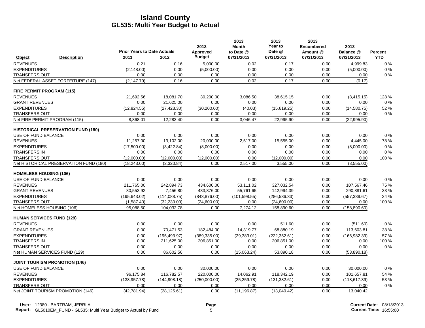|                                      |                                           |                                            |               | 2013                      | 2013<br><b>Month</b>    | 2013<br>Year to      | 2013<br><b>Encumbered</b> | 2013                    |                              |
|--------------------------------------|-------------------------------------------|--------------------------------------------|---------------|---------------------------|-------------------------|----------------------|---------------------------|-------------------------|------------------------------|
| Object                               | <b>Description</b>                        | <b>Prior Years to Date Actuals</b><br>2011 | 2012          | Approved<br><b>Budget</b> | to Date @<br>07/31/2013 | Date @<br>07/31/2013 | Amount @<br>07/31/2013    | Balance @<br>07/31/2013 | <b>Percent</b><br><b>YTD</b> |
| <b>REVENUES</b>                      |                                           | 0.21                                       | 0.16          | 5,000.00                  | 0.02                    | 0.17                 | 0.00                      | 4,999.83                | 0%                           |
| <b>EXPENDITURES</b>                  |                                           | (2, 148.00)                                | 0.00          | (5,000.00)                | 0.00                    | 0.00                 | 0.00                      | (5,000.00)              | 0%                           |
| <b>TRANSFERS OUT</b>                 |                                           | 0.00                                       | 0.00          | 0.00                      | 0.00                    | 0.00                 | 0.00                      | 0.00                    | 0%                           |
|                                      | Net FEDERAL ASSET FORFEITURE (147)        | (2, 147.79)                                | 0.16          | 0.00                      | 0.02                    | 0.17                 | 0.00                      | (0.17)                  |                              |
| FIRE PERMIT PROGRAM (115)            |                                           |                                            |               |                           |                         |                      |                           |                         |                              |
| <b>REVENUES</b>                      |                                           | 21.692.56                                  | 18.081.70     | 30,200.00                 | 3.086.50                | 38.615.15            | 0.00                      | (8, 415.15)             | 128 %                        |
| <b>GRANT REVENUES</b>                |                                           | 0.00                                       | 21,625.00     | 0.00                      | 0.00                    | 0.00                 | 0.00                      | 0.00                    | 0%                           |
| <b>EXPENDITURES</b>                  |                                           | (12, 824.55)                               | (27, 423.30)  | (30, 200.00)              | (40.03)                 | (15,619.25)          | 0.00                      | (14,580.75)             | 52 %                         |
| <b>TRANSFERS OUT</b>                 |                                           | 0.00                                       | 0.00          | 0.00                      | 0.00                    | 0.00                 | 0.00                      | 0.00                    | $0\%$                        |
| Net FIRE PERMIT PROGRAM (115)        |                                           | 8,868.01                                   | 12,283.40     | 0.00                      | 3,046.47                | 22,995.90            | 0.00                      | (22,995.90)             |                              |
|                                      | <b>HISTORICAL PRESERVATION FUND (180)</b> |                                            |               |                           |                         |                      |                           |                         |                              |
| USE OF FUND BALANCE                  |                                           | 0.00                                       | 0.00          | 0.00                      | 0.00                    | 0.00                 | 0.00                      | 0.00                    | 0%                           |
| <b>REVENUES</b>                      |                                           | 11,257.00                                  | 13,102.00     | 20,000.00                 | 2,517.00                | 15,555.00            | 0.00                      | 4,445.00                | 78%                          |
| <b>EXPENDITURES</b>                  |                                           | (17,500.00)                                | (3,422.84)    | (8,000.00)                | 0.00                    | 0.00                 | 0.00                      | (8,000.00)              | 0%                           |
| <b>TRANSFERS IN</b>                  |                                           | 0.00                                       | 0.00          | 0.00                      | 0.00                    | 0.00                 | 0.00                      | 0.00                    | 0%                           |
| <b>TRANSFERS OUT</b>                 |                                           | (12,000.00)                                | (12,000.00)   | (12,000.00)               | 0.00                    | (12,000.00)          | 0.00                      | 0.00                    | 100 %                        |
|                                      | Net HISTORICAL PRESERVATION FUND (180)    | (18, 243.00)                               | (2,320.84)    | 0.00                      | 2,517.00                | 3,555.00             | 0.00                      | (3,555.00)              |                              |
| <b>HOMELESS HOUSING (106)</b>        |                                           |                                            |               |                           |                         |                      |                           |                         |                              |
| USE OF FUND BALANCE                  |                                           | 0.00                                       | 0.00          | 0.00                      | 0.00                    | 0.00                 | 0.00                      | 0.00                    | 0%                           |
| <b>REVENUES</b>                      |                                           | 211,765.00                                 | 242,894.73    | 434,600.00                | 53,111.02               | 327,032.54           | 0.00                      | 107,567.46              | 75 %                         |
| <b>GRANT REVENUES</b>                |                                           | 80,553.92                                  | 7,456.80      | 433,876.00                | 55,761.65               | 142,994.39           | 0.00                      | 290,881.61              | 33 %                         |
| <b>EXPENDITURES</b>                  |                                           | (195, 643.02)                              | (114, 088.75) | (843, 876.00)             | (101, 598.55)           | (286, 536.33)        | 0.00                      | (557, 339.67)           | 34 %                         |
| <b>TRANSFERS OUT</b>                 |                                           | (1,587.40)                                 | (32, 230.00)  | (24,600.00)               | 0.00                    | (24,600.00)          | 0.00                      | 0.00                    | 100 %                        |
| Net HOMELESS HOUSING (106)           |                                           | 95,088.50                                  | 104,032.78    | 0.00                      | 7,274.12                | 158,890.60           | 0.00                      | (158, 890.60)           |                              |
| <b>HUMAN SERVICES FUND (129)</b>     |                                           |                                            |               |                           |                         |                      |                           |                         |                              |
| <b>REVENUES</b>                      |                                           | 0.00                                       | 0.00          | 0.00                      | 0.00                    | 511.60               | 0.00                      | (511.60)                | 0%                           |
| <b>GRANT REVENUES</b>                |                                           | 0.00                                       | 70,471.53     | 182,484.00                | 14,319.77               | 68,880.19            | 0.00                      | 113,603.81              | 38 %                         |
| <b>EXPENDITURES</b>                  |                                           | 0.00                                       | (195, 493.97) | (389, 335.00)             | (29, 383.01)            | (222, 352.61)        | 0.00                      | (166, 982.39)           | 57%                          |
| <b>TRANSFERS IN</b>                  |                                           | 0.00                                       | 211,625.00    | 206,851.00                | 0.00                    | 206,851.00           | 0.00                      | 0.00                    | 100 %                        |
| <b>TRANSFERS OUT</b>                 |                                           | 0.00                                       | 0.00          | 0.00                      | 0.00                    | 0.00                 | 0.00                      | 0.00                    | $0\%$                        |
| Net HUMAN SERVICES FUND (129)        |                                           | 0.00                                       | 86,602.56     | 0.00                      | (15,063.24)             | 53,890.18            | 0.00                      | (53,890.18)             |                              |
| <b>JOINT TOURISM PROMOTION (146)</b> |                                           |                                            |               |                           |                         |                      |                           |                         |                              |
| USE OF FUND BALANCE                  |                                           | 0.00                                       | 0.00          | 30,000.00                 | 0.00                    | 0.00                 | 0.00                      | 30,000.00               | $0\%$                        |
| <b>REVENUES</b>                      |                                           | 96,175.84                                  | 116,782.57    | 220,000.00                | 14,062.91               | 118,342.19           | 0.00                      | 101,657.81              | 54 %                         |
| <b>EXPENDITURES</b>                  |                                           | (138, 957.78)                              | (144, 908.18) | (250,000.00)              | (25, 259.78)            | (131, 382.61)        | 0.00                      | (118, 617.39)           | 53 %                         |
| <b>TRANSFERS OUT</b>                 |                                           | 0.00                                       | 0.00          | 0.00                      | 0.00                    | 0.00                 | 0.00                      | 0.00                    | 0%                           |
|                                      | Net JOINT TOURISM PROMOTION (146)         | (42, 781.94)                               | (28, 125.61)  | 0.00                      | (11, 196.87)            | (13,040.42)          | 0.00                      | 13,040.42               |                              |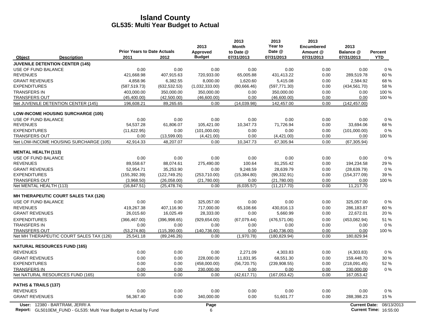|                                                                  | <b>Prior Years to Date Actuals</b> |                               | 2013<br>Approved     | 2013<br><b>Month</b><br>to Date @ | 2013<br>Year to<br>Date @     | 2013<br><b>Encumbered</b><br>Amount @ | 2013<br>Balance @    | Percent    |  |
|------------------------------------------------------------------|------------------------------------|-------------------------------|----------------------|-----------------------------------|-------------------------------|---------------------------------------|----------------------|------------|--|
| <b>Description</b><br>Object                                     | 2011                               | 2012                          | <b>Budget</b>        | 07/31/2013                        | 07/31/2013                    | 07/31/2013                            | 07/31/2013           | <b>YTD</b> |  |
| <b>JUVENILE DETENTION CENTER (145)</b>                           |                                    |                               |                      |                                   |                               |                                       |                      |            |  |
| USE OF FUND BALANCE                                              | 0.00                               | 0.00                          | 0.00                 | 0.00                              | 0.00                          | 0.00                                  | 0.00                 | 0%         |  |
| <b>REVENUES</b>                                                  | 421,668.98                         | 407,915.63                    | 720,933.00           | 65,005.88                         | 431,413.22                    | 0.00                                  | 289,519.78           | 60%        |  |
| <b>GRANT REVENUES</b>                                            | 4,858.96                           | 6,382.55                      | 8,000.00             | 1,620.60                          | 5,415.08                      | 0.00                                  | 2,584.92             | 68 %       |  |
| <b>EXPENDITURES</b>                                              | (587, 519.73)                      | (632, 532.53)                 | (1,032,333.00)       | (80,666.46)                       | (597, 771.30)                 | 0.00                                  | (434, 561.70)        | 58 %       |  |
| <b>TRANSFERS IN</b>                                              | 403.000.00                         | 350.000.00                    | 350.000.00           | 0.00                              | 350.000.00                    | 0.00                                  | 0.00                 | 100 %      |  |
| <b>TRANSFERS OUT</b>                                             | (45, 400.00)                       | (42,500.00)                   | (46,600.00)          | 0.00                              | (46,600.00)                   | 0.00                                  | 0.00                 | 100 %      |  |
| Net JUVENILE DETENTION CENTER (145)                              | 196,608.21                         | 89,265.65                     | 0.00                 | (14.039.98)                       | 142,457.00                    | 0.00                                  | (142, 457.00)        |            |  |
| <b>LOW-INCOME HOUSING SURCHARGE (105)</b>                        |                                    |                               |                      |                                   |                               |                                       |                      |            |  |
| USE OF FUND BALANCE                                              | 0.00                               | 0.00                          | 0.00                 | 0.00                              | 0.00                          | 0.00                                  | 0.00                 | 0%         |  |
| <b>REVENUES</b>                                                  | 54,537.28                          | 61,806.07                     | 105,421.00           | 10,347.73                         | 71,726.94                     | 0.00                                  | 33,694.06            | 68 %       |  |
| <b>EXPENDITURES</b>                                              | (11,622.95)                        | 0.00                          | (101,000.00)         | 0.00                              | 0.00                          | 0.00                                  | (101,000.00)         | 0%         |  |
| <b>TRANSFERS OUT</b>                                             | 0.00                               | (13,599.00)                   | (4,421.00)           | 0.00                              | (4,421.00)                    | 0.00                                  | 0.00                 | 100 %      |  |
| Net LOW-INCOME HOUSING SURCHARGE (105)                           | 42,914.33                          | 48,207.07                     | 0.00                 | 10,347.73                         | 67,305.94                     | 0.00                                  | (67, 305.94)         |            |  |
| <b>MENTAL HEALTH (113)</b>                                       |                                    |                               |                      |                                   |                               |                                       |                      |            |  |
| USE OF FUND BALANCE                                              | 0.00                               | 0.00                          | 0.00                 | 0.00                              | 0.00                          | 0.00                                  | 0.00                 | $0\%$      |  |
| <b>REVENUES</b>                                                  | 89,558.67                          | 88,074.61                     | 275,490.00           | 100.64                            | 81,255.42                     | 0.00                                  | 194,234.58           | 29 %       |  |
| <b>GRANT REVENUES</b>                                            | 52,954.71                          | 35,253.90                     | 0.00                 | 9,248.59                          | 28,639.79                     | 0.00                                  | (28, 639.79)         | 0%         |  |
| <b>EXPENDITURES</b>                                              | (155, 392.39)                      | (122, 749.25)                 | (253,710.00)         | (15, 384.80)                      | (99, 332.91)                  | 0.00                                  | (154, 377.09)        | 39 %       |  |
| <b>TRANSFERS OUT</b>                                             | (3,968.50)                         | (26,058.00)                   | (21,780.00)          | 0.00                              | (21,780.00)                   | 0.00                                  | 0.00                 | 100 %      |  |
| Net MENTAL HEALTH (113)                                          | (16, 847.51)                       | (25, 478.74)                  | 0.00                 | (6.035.57)                        | (11, 217.70)                  | 0.00                                  | 11,217.70            |            |  |
| <b>MH THERAPEUTIC COURT SALES TAX (126)</b>                      |                                    |                               |                      |                                   |                               |                                       |                      |            |  |
| USE OF FUND BALANCE                                              | 0.00                               | 0.00                          | 325.057.00           | 0.00                              | 0.00                          | 0.00                                  | 325.057.00           | $0\%$      |  |
| <b>REVENUES</b>                                                  | 419.267.38                         | 407.116.90                    | 717,000.00           | 65.108.66                         | 430,816.13                    | 0.00                                  | 286,183.87           | 60%        |  |
| <b>GRANT REVENUES</b>                                            | 26,015.60                          | 16,025.49                     | 28,333.00            | 0.00                              | 5,660.99                      | 0.00                                  | 22,672.01            | 20%        |  |
| <b>EXPENDITURES</b>                                              | (366, 467.00)                      | (396,998.65)                  | (929, 654.00)        | (67,079.44)                       | (476, 571.06)                 | 0.00                                  | (453,082.94)         | 51 %       |  |
| <b>TRANSFERS IN</b>                                              | 0.00                               | 0.00                          | 0.00                 | 0.00                              | 0.00                          | 0.00                                  | 0.00                 | $0\%$      |  |
| <b>TRANSFERS OUT</b><br>Net MH THERAPEUTIC COURT SALES TAX (126) | (53, 274.80)<br>25,541.18          | (115, 390.00)<br>(89, 246.26) | (140.736.00)<br>0.00 | 0.00<br>(1,970.78)                | (140, 736.00)<br>(180.829.94) | 0.00<br>0.00                          | 0.00<br>180,829.94   | 100 %      |  |
|                                                                  |                                    |                               |                      |                                   |                               |                                       |                      |            |  |
| <b>NATURAL RESOURCES FUND (165)</b><br><b>REVENUES</b>           | 0.00                               | 0.00                          | 0.00                 | 2.271.09                          | 4,303.83                      | 0.00                                  | (4,303.83)           | 0%         |  |
| <b>GRANT REVENUES</b>                                            | 0.00                               | 0.00                          | 228,000.00           | 11,831.95                         | 68,551.30                     | 0.00                                  | 159,448.70           | 30 %       |  |
| <b>EXPENDITURES</b>                                              | 0.00                               | 0.00                          | (458,000.00)         | (56, 720.75)                      | (239, 908.55)                 | 0.00                                  | (218,091.45)         | 52 %       |  |
| <b>TRANSFERS IN</b>                                              | 0.00                               | 0.00                          | 230,000.00           | 0.00                              | 0.00                          | 0.00                                  | 230,000.00           | $0\%$      |  |
| Net NATURAL RESOURCES FUND (165)                                 | 0.00                               | 0.00                          | 0.00                 | (42, 617.71)                      | (167, 053.42)                 | 0.00                                  | 167,053.42           |            |  |
| PATHS & TRAILS (137)                                             |                                    |                               |                      |                                   |                               |                                       |                      |            |  |
| <b>REVENUES</b>                                                  | 0.00                               | 0.00                          | 0.00                 | 0.00                              | 0.00                          | 0.00                                  | 0.00                 | 0%         |  |
| <b>GRANT REVENUES</b>                                            | 56,367.40                          | 0.00                          | 340,000.00           | 0.00                              | 51,601.77                     | 0.00                                  | 288,398.23           | 15 %       |  |
| User: 12380 - BARTRAM, JERRI A                                   |                                    |                               | Page                 |                                   |                               |                                       | <b>Current Date:</b> | 08/13/2013 |  |
|                                                                  |                                    |                               |                      |                                   |                               |                                       |                      |            |  |

**Report:** 6 **Current Time:** GL5010EM\_FUND - GL535: Multi Year Budget to Actual by Fund 16:55:00 16:00 16:00 16:00 16:00 16:00 16:00 16:00 16:00 16:00 16:00 16:00 16:00 16:00 16:00 16:00 16:00 17:00 17:00 17:00 17:00 17:00 17:00 17:00 17:00 17:00 17:0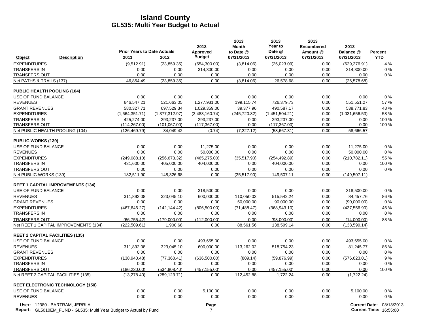|                                                | <b>Prior Years to Date Actuals</b> |                    | 2013<br>Approved | 2013<br><b>Month</b><br>to Date @ | 2013<br>Year to<br>Date @ | 2013<br><b>Encumbered</b><br>Amount @ | 2013<br>Balance @     | Percent    |
|------------------------------------------------|------------------------------------|--------------------|------------------|-----------------------------------|---------------------------|---------------------------------------|-----------------------|------------|
| <b>Description</b><br>Object                   | 2011                               | 2012               | <b>Budget</b>    | 07/31/2013                        | 07/31/2013                | 07/31/2013                            | 07/31/2013            | <b>YTD</b> |
| <b>EXPENDITURES</b>                            | (9,512.91)                         | (23, 859.35)       | (654, 300.00)    | (3,814.06)                        | (25,023.09)               | 0.00                                  | (629, 276.91)         | 4 %        |
| <b>TRANSFERS IN</b>                            | 0.00                               | 0.00               | 314,300.00       | 0.00                              | 0.00                      | 0.00                                  | 314,300.00            | 0%         |
| <b>TRANSFERS OUT</b>                           | 0.00                               | 0.00               | 0.00             | 0.00                              | 0.00                      | 0.00                                  | 0.00                  | 0%         |
| Net PATHS & TRAILS (137)                       | 46,854.49                          | (23, 859.35)       | 0.00             | (3,814.06)                        | 26,578.68                 | 0.00                                  | (26, 578.68)          |            |
| <b>PUBLIC HEALTH POOLING (104)</b>             |                                    |                    |                  |                                   |                           |                                       |                       |            |
| USE OF FUND BALANCE                            | 0.00                               | 0.00               | 0.00             | 0.00                              | 0.00                      | 0.00                                  | 0.00                  | 0%         |
| <b>REVENUES</b>                                | 646.547.21                         | 521.663.05         | 1.277.931.00     | 199.115.74                        | 726.379.73                | 0.00                                  | 551,551.27            | 57%        |
| <b>GRANT REVENUES</b>                          | 580.327.71                         | 697,529.34         | 1.029.359.00     | 39.377.96                         | 490.587.17                | 0.00                                  | 538.771.83            | 48 %       |
| <b>EXPENDITURES</b>                            | (1,664,351.71)                     | (1,377,312.97)     | (2,483,160.74)   | (245, 720.82)                     | (1,451,504.21)            | 0.00                                  | (1,031,656.53)        | 58 %       |
| <b>TRANSFERS IN</b>                            | 425,274.00                         | 293,237.00         | 293,237.00       | 0.00                              | 293,237.00                | 0.00                                  | 0.00                  | 100 %      |
| <b>TRANSFERS OUT</b>                           | (114, 267.00)                      | (101, 067.00)      | (117, 367.00)    | 0.00                              | (117, 367.00)             | 0.00                                  | 0.00                  | 100 %      |
| Net PUBLIC HEALTH POOLING (104)                | (126, 469.79)                      | 34,049.42          | (0.74)           | (7, 227.12)                       | (58,667.31)               | 0.00                                  | 58,666.57             |            |
| <b>PUBLIC WORKS (139)</b>                      |                                    |                    |                  |                                   |                           |                                       |                       |            |
| USE OF FUND BALANCE                            | 0.00                               | 0.00               | 11,275.00        | 0.00                              | 0.00                      | 0.00                                  | 11.275.00             | 0%         |
| <b>REVENUES</b>                                | 0.00                               | 0.00               | 50.000.00        | 0.00                              | 0.00                      | 0.00                                  | 50.000.00             | 0%         |
| <b>EXPENDITURES</b>                            | (249, 088.10)                      | (256, 673.32)      | (465, 275.00)    | (35,517.90)                       | (254, 492.89)             | 0.00                                  | (210, 782.11)         | 55 %       |
| <b>TRANSFERS IN</b>                            | 431,600.00                         | 405,000.00         | 404,000.00       | 0.00                              | 404,000.00                | 0.00                                  | 0.00                  | 100 %      |
| <b>TRANSFERS OUT</b><br>Net PUBLIC WORKS (139) | 0.00<br>182,511.90                 | 0.00<br>148,326.68 | 0.00<br>0.00     | 0.00<br>(35,517.90)               | 0.00<br>149,507.11        | 0.00<br>0.00                          | 0.00<br>(149, 507.11) | 0%         |
|                                                |                                    |                    |                  |                                   |                           |                                       |                       |            |
| <b>REET 1 CAPITAL IMPROVEMENTS (134)</b>       |                                    |                    |                  |                                   |                           |                                       |                       |            |
| USE OF FUND BALANCE                            | 0.00                               | 0.00               | 318,500.00       | 0.00                              | 0.00                      | 0.00                                  | 318,500.00            | 0%         |
| <b>REVENUES</b>                                | 311,892.08                         | 323,045.10         | 600,000.00       | 110,050.03                        | 515,542.24                | 0.00                                  | 84,457.76             | 86 %       |
| <b>GRANT REVENUES</b>                          | 0.00                               | 0.00               | 0.00             | 50,000.00                         | 90,000.00                 | 0.00                                  | (90,000.00)           | $0\%$      |
| <b>EXPENDITURES</b>                            | (467, 646.27)                      | (142, 144.42)      | (806, 500.00)    | (71, 488.47)                      | (368, 943.10)             | 0.00                                  | (437, 556.90)         | 46 %       |
| <b>TRANSFERS IN</b>                            | 0.00                               | 0.00               | 0.00             | 0.00                              | 0.00                      | 0.00                                  | 0.00                  | 0%         |
| <b>TRANSFERS OUT</b>                           | (66.755.42)                        | (179,000.00)       | (112.000.00)     | 0.00                              | (98.000.00)               | 0.00                                  | (14,000.00)           | 88%        |
| Net REET 1 CAPITAL IMPROVEMENTS (134)          | (222, 509.61)                      | 1,900.68           | 0.00             | 88,561.56                         | 138,599.14                | 0.00                                  | (138, 599.14)         |            |
| <b>REET 2 CAPITAL FACILITIES (135)</b>         |                                    |                    |                  |                                   |                           |                                       |                       |            |
| USE OF FUND BALANCE                            | 0.00                               | 0.00               | 493,655.00       | 0.00                              | 0.00                      | 0.00                                  | 493,655.00            | 0%         |
| <b>REVENUES</b>                                | 311,892.08                         | 323,045.10         | 600,000.00       | 113,262.02                        | 518,754.23                | 0.00                                  | 81,245.77             | 86 %       |
| <b>GRANT REVENUES</b>                          | 0.00                               | 0.00               | 0.00             | 0.00                              | 0.00                      | 0.00                                  | 0.00                  | 0%         |
| <b>EXPENDITURES</b>                            | (138, 940.48)                      | (77, 360.41)       | (636, 500.00)    | (809.14)                          | (59, 876.99)              | 0.00                                  | (576, 623.01)         | 9%         |
| <b>TRANSFERS IN</b>                            | 0.00                               | 0.00               | 0.00             | 0.00                              | 0.00                      | 0.00                                  | 0.00                  | 0%         |
| <b>TRANSFERS OUT</b>                           | (186, 230.00)                      | (534, 808.40)      | (457, 155.00)    | 0.00                              | (457, 155.00)             | 0.00                                  | 0.00                  | 100 %      |
| Net REET 2 CAPITAL FACILITIES (135)            | (13, 278.40)                       | (289, 123.71)      | 0.00             | 112,452.88                        | 1,722.24                  | 0.00                                  | (1,722.24)            |            |
| <b>REET ELECTRONIC TECHNOLOGY (150)</b>        |                                    |                    |                  |                                   |                           |                                       |                       |            |
| USE OF FUND BALANCE                            | 0.00                               | 0.00               | 5,100.00         | 0.00                              | 0.00                      | 0.00                                  | 5,100.00              | 0%         |
| <b>REVENUES</b>                                | 0.00                               | 0.00               | 0.00             | 0.00                              | 0.00                      | 0.00                                  | 0.00                  | 0%         |
| User: 12380 - BARTRAM, JERRI A                 |                                    |                    | Page             |                                   |                           |                                       | <b>Current Date:</b>  | 08/13/2013 |

**Report:** 7 **Current Time:** GL5010EM\_FUND - GL535: Multi Year Budget to Actual by Fund 16:55:00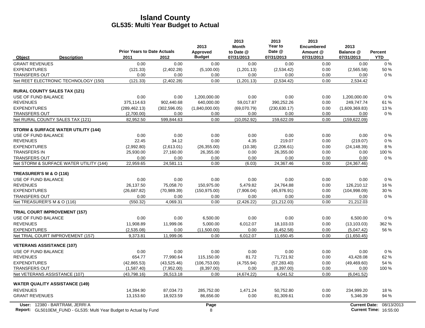|                                                                                                             | <b>Prior Years to Date Actuals</b> |               | 2013<br>Approved | 2013<br><b>Month</b><br>to Date @ | 2013<br>Year to<br>Date @ | 2013<br><b>Encumbered</b><br>Amount @ | 2013<br>Balance @    | <b>Percent</b>                              |
|-------------------------------------------------------------------------------------------------------------|------------------------------------|---------------|------------------|-----------------------------------|---------------------------|---------------------------------------|----------------------|---------------------------------------------|
| <b>Description</b><br>Object                                                                                | 2011                               | 2012          | <b>Budget</b>    | 07/31/2013                        | 07/31/2013                | 07/31/2013                            | 07/31/2013           | <b>YTD</b>                                  |
| <b>GRANT REVENUES</b>                                                                                       | 0.00                               | 0.00          | 0.00             | 0.00                              | 0.00                      | 0.00                                  | 0.00                 | $0\%$                                       |
| <b>EXPENDITURES</b>                                                                                         | (121.33)                           | (2,402.28)    | (5,100.00)       | (1,201.13)                        | (2,534.42)                | 0.00                                  | (2,565.58)           | 50 %                                        |
| <b>TRANSFERS OUT</b>                                                                                        | 0.00                               | 0.00          | 0.00             | 0.00                              | 0.00                      | 0.00                                  | 0.00                 | $0\%$                                       |
| Net REET ELECTRONIC TECHNOLOGY (150)                                                                        | (121.33)                           | (2,402.28)    | 0.00             | (1,201.13)                        | (2,534.42)                | 0.00                                  | 2,534.42             |                                             |
| <b>RURAL COUNTY SALES TAX (121)</b>                                                                         |                                    |               |                  |                                   |                           |                                       |                      |                                             |
| USE OF FUND BALANCE                                                                                         | 0.00                               | 0.00          | 1,200,000.00     | 0.00                              | 0.00                      | 0.00                                  | 1,200,000.00         | 0%                                          |
| <b>REVENUES</b>                                                                                             | 375,114.63                         | 902,440.68    | 640,000.00       | 59,017.87                         | 390,252.26                | 0.00                                  | 249,747.74           | 61 %                                        |
| <b>EXPENDITURES</b>                                                                                         | (289, 462.13)                      | (302, 596.05) | (1,840,000.00)   | (69,070.79)                       | (230, 630.17)             | 0.00                                  | (1,609,369.83)       | 13%                                         |
| <b>TRANSFERS OUT</b>                                                                                        | (2,700.00)                         | 0.00          | 0.00             | 0.00                              | 0.00                      | 0.00                                  | 0.00                 | $0\%$                                       |
| Net RURAL COUNTY SALES TAX (121)                                                                            | 82,952.50                          | 599,844.63    | 0.00             | (10.052.92)                       | 159,622.09                | 0.00                                  | (159, 622.09)        |                                             |
| <b>STORM &amp; SURFACE WATER UTILITY (144)</b>                                                              |                                    |               |                  |                                   |                           |                                       |                      |                                             |
| USE OF FUND BALANCE                                                                                         | 0.00                               | 0.00          | 0.00             | 0.00                              | 0.00                      | 0.00                                  | 0.00                 | $0\%$                                       |
| <b>REVENUES</b>                                                                                             | 22.45                              | 34.12         | 0.00             | 4.35                              | 219.07                    | 0.00                                  | (219.07)             | $0\%$                                       |
| <b>EXPENDITURES</b>                                                                                         | (2,992.80)                         | (2,613.01)    | (26, 355.00)     | (10.38)                           | (2,206.61)                | 0.00                                  | (24, 148.39)         | 8%                                          |
| <b>TRANSFERS IN</b>                                                                                         | 25,930.00                          | 27,160.00     | 26,355.00        | 0.00                              | 26,355.00                 | 0.00                                  | 0.00                 | 100 %                                       |
| <b>TRANSFERS OUT</b>                                                                                        | 0.00                               | 0.00          | 0.00             | 0.00                              | 0.00                      | 0.00                                  | 0.00                 | 0%                                          |
| Net STORM & SURFACE WATER UTILITY (144)                                                                     | 22,959.65                          | 24,581.11     | 0.00             | (6.03)                            | 24,367.46                 | 0.00                                  | (24, 367.46)         |                                             |
| TREASURER'S M & O (116)                                                                                     |                                    |               |                  |                                   |                           |                                       |                      |                                             |
| USE OF FUND BALANCE                                                                                         | 0.00                               | 0.00          | 0.00             | 0.00                              | 0.00                      | 0.00                                  | 0.00                 | $0\%$                                       |
| <b>REVENUES</b>                                                                                             | 26.137.50                          | 75.058.70     | 150.975.00       | 5.479.82                          | 24.764.88                 | 0.00                                  | 126,210.12           | 16 %                                        |
| <b>EXPENDITURES</b>                                                                                         | (26,687.82)                        | (70,989.39)   | (150, 975.00)    | (7,906.04)                        | (45,976.91)               | 0.00                                  | (104, 998.09)        | 30 %                                        |
| <b>TRANSFERS OUT</b>                                                                                        | 0.00                               | 0.00          | 0.00             | 0.00                              | 0.00                      | 0.00                                  | 0.00                 | $0\%$                                       |
| Net TREASURER'S M & O (116)                                                                                 | (550.32)                           | 4,069.31      | 0.00             | (2,426.22)                        | (21, 212.03)              | 0.00                                  | 21,212.03            |                                             |
| <b>TRIAL COURT IMPROVEMENT (157)</b>                                                                        |                                    |               |                  |                                   |                           |                                       |                      |                                             |
| USE OF FUND BALANCE                                                                                         | 0.00                               | 0.00          | 6,500.00         | 0.00                              | 0.00                      | 0.00                                  | 6,500.00             | 0%                                          |
| <b>REVENUES</b>                                                                                             | 11,908.89                          | 11,999.06     | 5,000.00         | 6,012.07                          | 18,103.03                 | 0.00                                  | (13, 103.03)         | 362 %                                       |
| <b>EXPENDITURES</b>                                                                                         | (2,535.08)                         | 0.00          | (11,500.00)      | 0.00                              | (6,452.58)                | 0.00                                  | (5,047.42)           | 56 %                                        |
| Net TRIAL COURT IMPROVEMENT (157)                                                                           | 9,373.81                           | 11,999.06     | 0.00             | 6,012.07                          | 11,650.45                 | 0.00                                  | (11,650.45)          |                                             |
| <b>VETERANS ASSISTANCE (107)</b>                                                                            |                                    |               |                  |                                   |                           |                                       |                      |                                             |
| USE OF FUND BALANCE                                                                                         | 0.00                               | 0.00          | 0.00             | 0.00                              | 0.00                      | 0.00                                  | 0.00                 | 0%                                          |
| <b>REVENUES</b>                                                                                             | 654.77                             | 77,990.64     | 115,150.00       | 81.72                             | 71,721.92                 | 0.00                                  | 43,428.08            | 62 %                                        |
| <b>EXPENDITURES</b>                                                                                         | (42,865.53)                        | (43, 525.46)  | (106, 753.00)    | (4,755.94)                        | (57, 283.40)              | 0.00                                  | (49, 469.60)         | 54 %                                        |
| <b>TRANSFERS OUT</b>                                                                                        | (1,587.40)                         | (7,952.00)    | (8,397.00)       | 0.00                              | (8,397.00)                | 0.00                                  | 0.00                 | 100 %                                       |
| Net VETERANS ASSISTANCE (107)                                                                               | (43,798.16)                        | 26,513.18     | 0.00             | (4,674.22)                        | 6,041.52                  | 0.00                                  | (6,041.52)           |                                             |
| <b>WATER QUALITY ASSISTANCE (149)</b>                                                                       |                                    |               |                  |                                   |                           |                                       |                      |                                             |
| <b>REVENUES</b>                                                                                             | 14,394.90                          | 87,034.73     | 285,752.00       | 1,471.24                          | 50,752.80                 | 0.00                                  | 234,999.20           | 18%                                         |
| <b>GRANT REVENUES</b>                                                                                       | 13,153.60                          | 18,923.59     | 86,656.00        | 0.00                              | 81,309.61                 | 0.00                                  | 5,346.39             | 94 %                                        |
| User: 12380 - BARTRAM, JERRI A<br><b>Report:</b> GL5010EM_FUND - GL535: Multi Year Budget to Actual by Fund |                                    |               | Page<br>8        |                                   |                           |                                       | <b>Current Date:</b> | 08/13/2013<br><b>Current Time: 16:55:00</b> |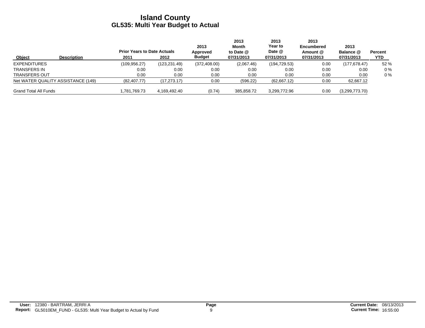|                              |                                    | <b>Prior Years to Date Actuals</b> |               | 2013<br>Approved | 2013<br>Month<br>to Date $@$ | 2013<br>Year to<br>Date @ | 2013<br><b>Encumbered</b><br>Amount @ | 2013<br>Balance @ | Percent |
|------------------------------|------------------------------------|------------------------------------|---------------|------------------|------------------------------|---------------------------|---------------------------------------|-------------------|---------|
| Object                       | <b>Description</b>                 | 2011                               | 2012          | <b>Budget</b>    | 07/31/2013                   | 07/31/2013                | 07/31/2013                            | 07/31/2013        | YTD     |
| <b>EXPENDITURES</b>          |                                    | (109.956.27)                       | (123, 231.49) | (372, 408.00)    | (2,067.46)                   | (194, 729.53)             | 0.00                                  | (177.678.47)      | 52 %    |
| <b>TRANSFERS IN</b>          |                                    | 0.00                               | 0.00          | 0.00             | 0.00                         | 0.00                      | 0.00                                  | 0.00              | $0\%$   |
| <b>TRANSFERS OUT</b>         |                                    | 0.00                               | 0.00          | 0.00             | 0.00                         | 0.00                      | 0.00                                  | 0.00              | $0\%$   |
|                              | Net WATER QUALITY ASSISTANCE (149) | (82, 407.77)                       | (17, 273.17)  | 0.00             | (596.22)                     | (62,667.12)               | 0.00                                  | 62,667.12         |         |
| <b>Grand Total All Funds</b> |                                    | 1,781,769.73                       | 4.169.492.40  | (0.74)           | 385,858.72                   | 3,299,772.96              | 0.00                                  | (3,299,773.70)    |         |